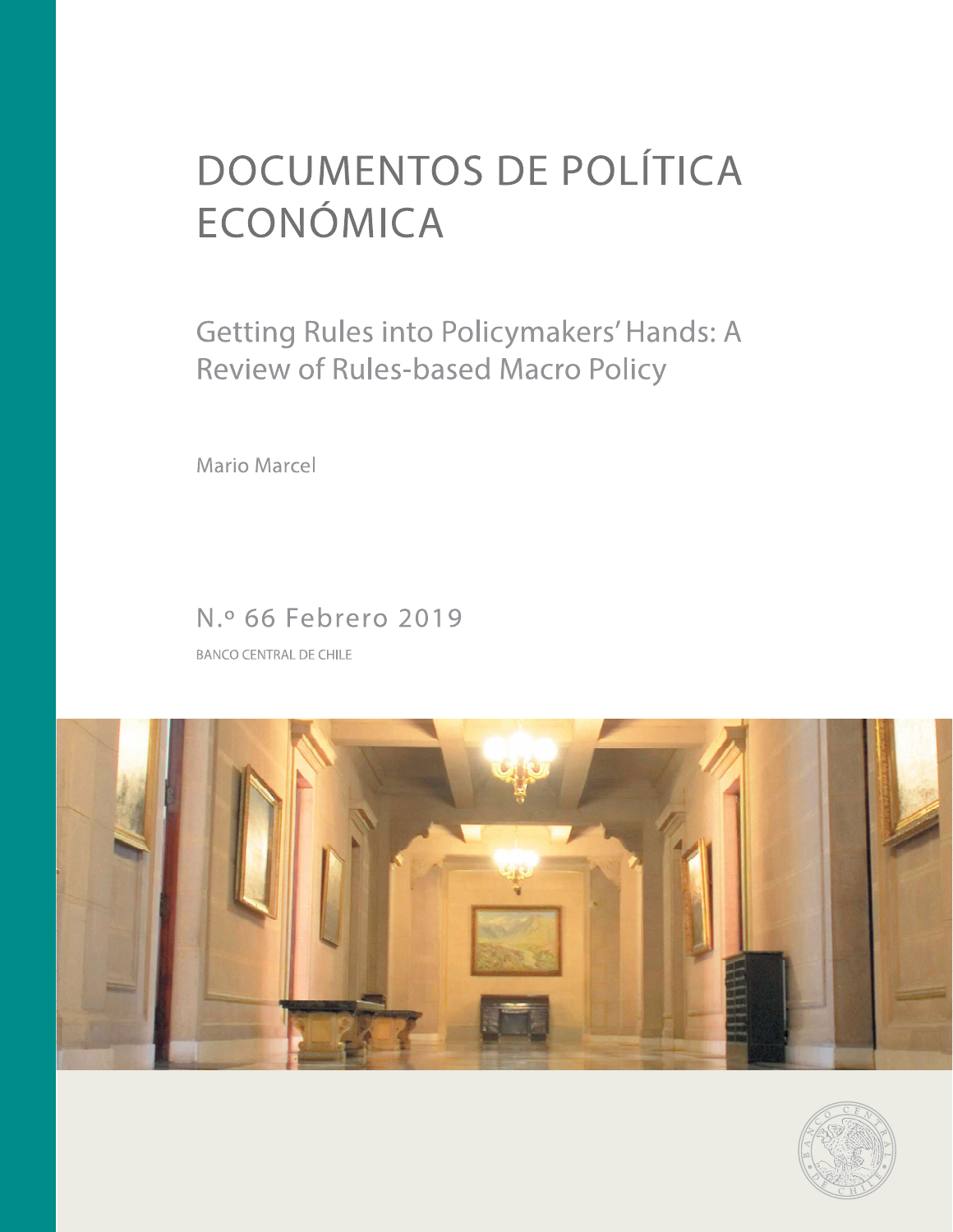# **DOCUMENTOS DE POLÍTICA** ECONÓMICA

Getting Rules into Policymakers' Hands: A Review of Rules-based Macro Policy

Mario Marcel

# N.º 66 Febrero 2019

**BANCO CENTRAL DE CHILE** 



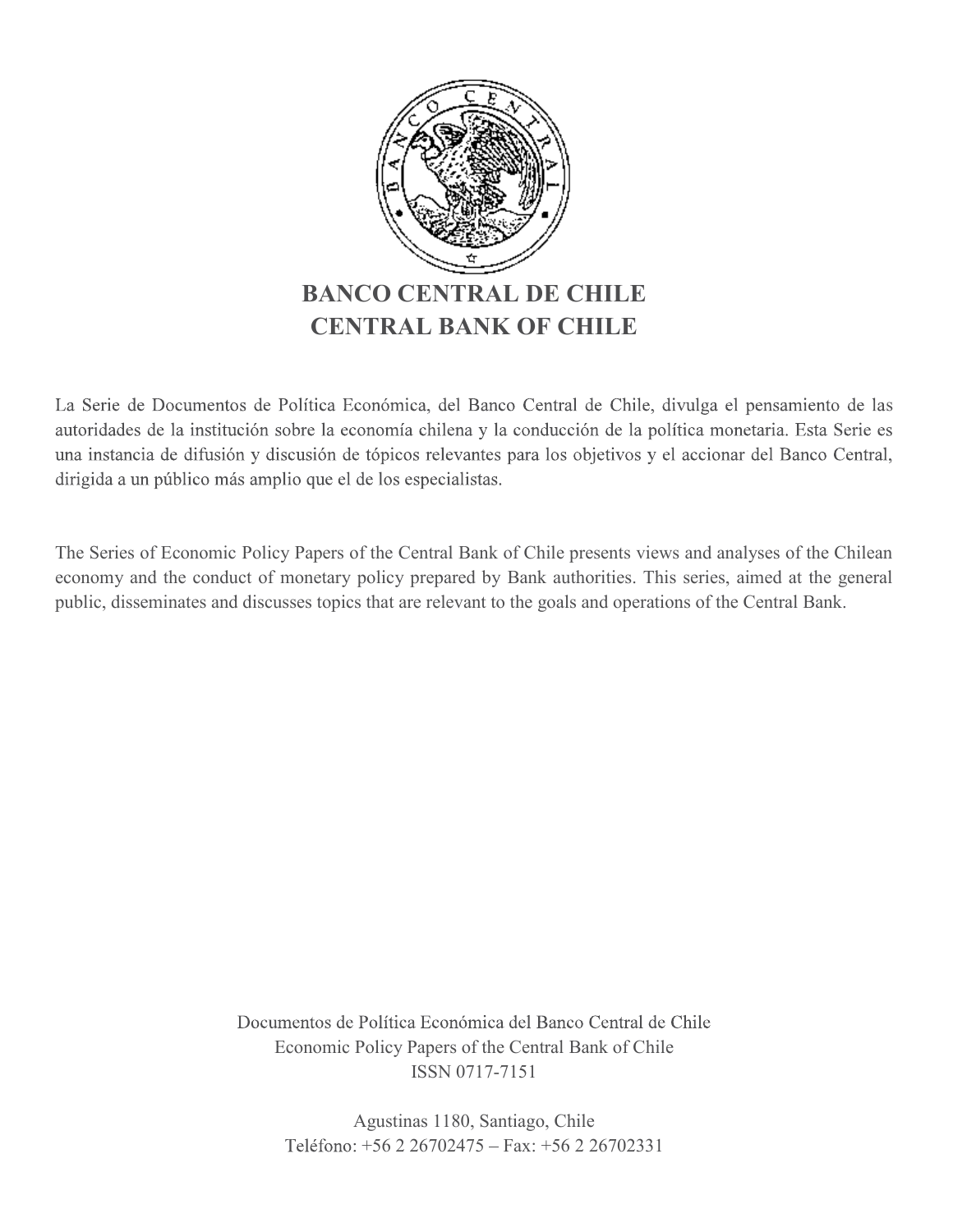

s autoridades de la institución sobre la economía chilena y la conducción de la política monetaria. Esta Serie es una instancia de difusión y discusión de tópicos relevantes para los objetivos y el accionar del Banco Central, dirigida a un público más amplio que el de los especialistas.

The Series of Economic Policy Papers of the Central Bank of Chile presents views and analyses of the Chilean economy and the conduct of monetary policy prepared by Bank authorities. This series, aimed at the general public, disseminates and discusses topics that are relevant to the goals and operations of the Central Bank.

> Economic Policy Papers of the Central Bank of Chile ISSN 0717-7151 Política Económica del Banco Central de Chile<br>Policy Papers of the Central Bank of Chile<br>ISSN 0717-7151<br>Agustinas 1180, Santiago, Chile<br>: +56 2 26702475 – Fax: +56 2 26702331 Política Económica del Banco Central de Chile<br>Policy Papers of the Central Bank of Chile<br>ISSN 0717-7151<br>Agustinas 1180, Santiago, Chile<br>+56 2 26702475 - Fax: +56 2 26702331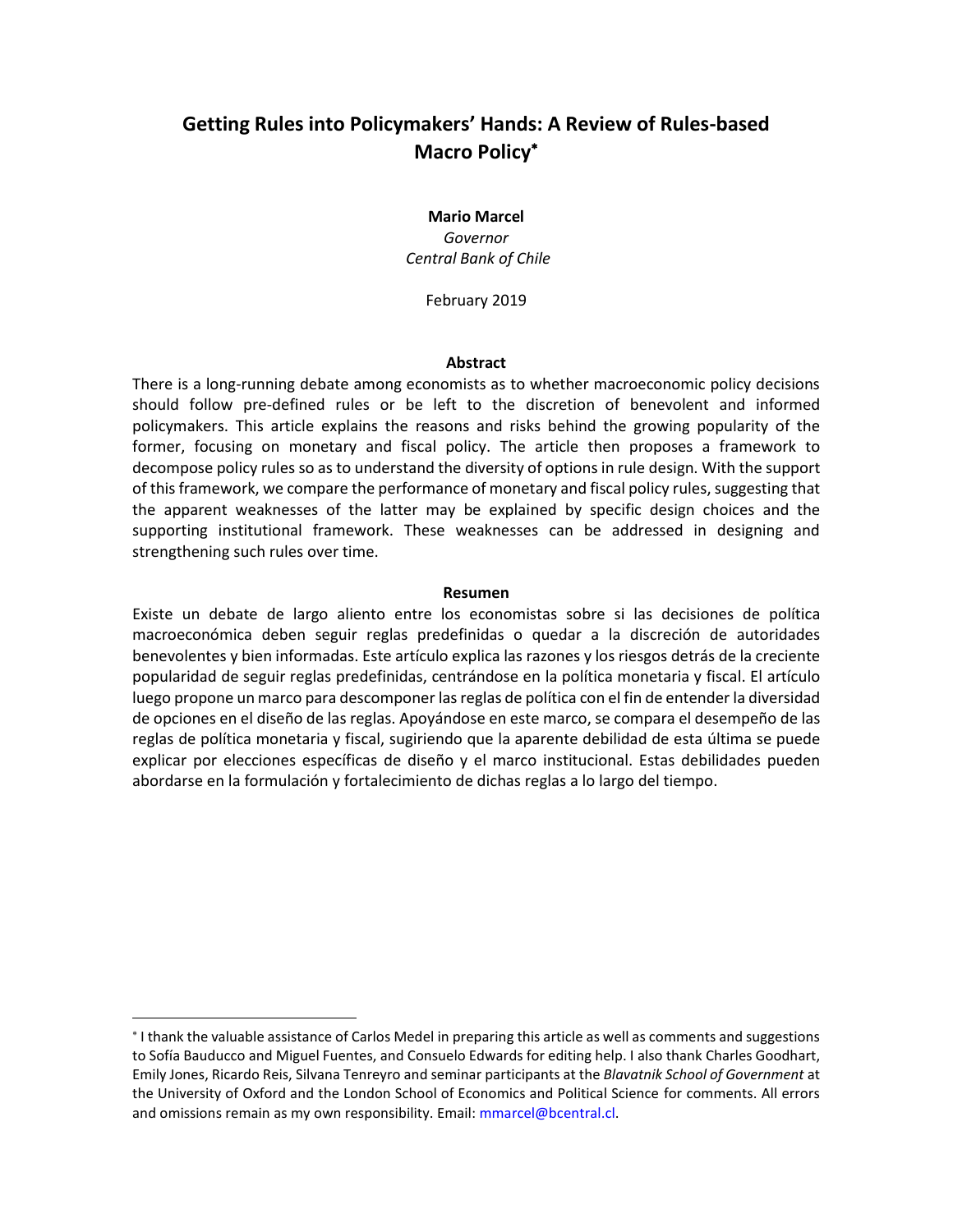# **Getting Rules into Policymakers' Hands: A Review of Rules-based Macro Policy**

#### **Mario Marcel** *Governor Central Bank of Chile*

February 2019

#### **Abstract**

There is a long-running debate among economists as to whether macroeconomic policy decisions should follow pre-defined rules or be left to the discretion of benevolent and informed policymakers. This article explains the reasons and risks behind the growing popularity of the former, focusing on monetary and fiscal policy. The article then proposes a framework to decompose policy rules so as to understand the diversity of options in rule design. With the support of this framework, we compare the performance of monetary and fiscal policy rules, suggesting that the apparent weaknesses of the latter may be explained by specific design choices and the supporting institutional framework. These weaknesses can be addressed in designing and strengthening such rules over time.

#### **Resumen**

Existe un debate de largo aliento entre los economistas sobre si las decisiones de política macroeconómica deben seguir reglas predefinidas o quedar a la discreción de autoridades benevolentes y bien informadas. Este artículo explica las razones y los riesgos detrás de la creciente popularidad de seguir reglas predefinidas, centrándose en la política monetaria y fiscal. El artículo luego propone un marco para descomponer las reglas de política con el fin de entender la diversidad de opciones en el diseño de las reglas. Apoyándose en este marco, se compara el desempeño de las reglas de política monetaria y fiscal, sugiriendo que la aparente debilidad de esta última se puede explicar por elecciones específicas de diseño y el marco institucional. Estas debilidades pueden abordarse en la formulación y fortalecimiento de dichas reglas a lo largo del tiempo.

 $\overline{a}$ 

<sup>\*</sup> I thank the valuable assistance of Carlos Medel in preparing this article as well as comments and suggestions to Sofía Bauducco and Miguel Fuentes, and Consuelo Edwards for editing help. I also thank Charles Goodhart, Emily Jones, Ricardo Reis, Silvana Tenreyro and seminar participants at the *Blavatnik School of Government* at the University of Oxford and the London School of Economics and Political Science for comments. All errors and omissions remain as my own responsibility. Email: [mmarcel@bcentral.cl.](mailto:mmarcel@bcentral.cl)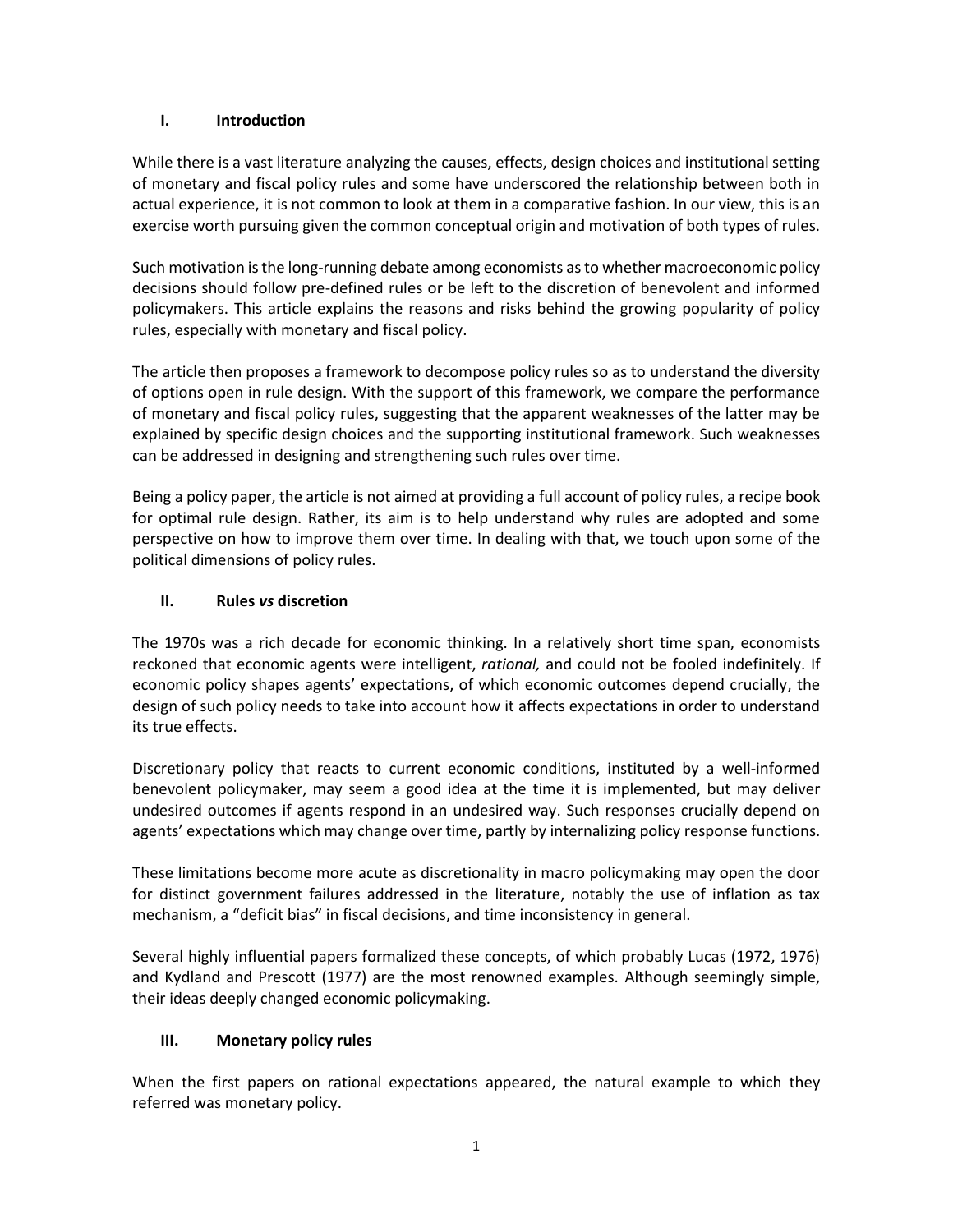## **I. Introduction**

While there is a vast literature analyzing the causes, effects, design choices and institutional setting of monetary and fiscal policy rules and some have underscored the relationship between both in actual experience, it is not common to look at them in a comparative fashion. In our view, this is an exercise worth pursuing given the common conceptual origin and motivation of both types of rules.

Such motivation is the long-running debate among economists as to whether macroeconomic policy decisions should follow pre-defined rules or be left to the discretion of benevolent and informed policymakers. This article explains the reasons and risks behind the growing popularity of policy rules, especially with monetary and fiscal policy.

The article then proposes a framework to decompose policy rules so as to understand the diversity of options open in rule design. With the support of this framework, we compare the performance of monetary and fiscal policy rules, suggesting that the apparent weaknesses of the latter may be explained by specific design choices and the supporting institutional framework. Such weaknesses can be addressed in designing and strengthening such rules over time.

Being a policy paper, the article is not aimed at providing a full account of policy rules, a recipe book for optimal rule design. Rather, its aim is to help understand why rules are adopted and some perspective on how to improve them over time. In dealing with that, we touch upon some of the political dimensions of policy rules.

# **II. Rules** *vs* **discretion**

The 1970s was a rich decade for economic thinking. In a relatively short time span, economists reckoned that economic agents were intelligent, *rational,* and could not be fooled indefinitely. If economic policy shapes agents' expectations, of which economic outcomes depend crucially, the design of such policy needs to take into account how it affects expectations in order to understand its true effects.

Discretionary policy that reacts to current economic conditions, instituted by a well-informed benevolent policymaker, may seem a good idea at the time it is implemented, but may deliver undesired outcomes if agents respond in an undesired way. Such responses crucially depend on agents' expectations which may change over time, partly by internalizing policy response functions.

These limitations become more acute as discretionality in macro policymaking may open the door for distinct government failures addressed in the literature, notably the use of inflation as tax mechanism, a "deficit bias" in fiscal decisions, and time inconsistency in general.

Several highly influential papers formalized these concepts, of which probably Lucas (1972, 1976) and Kydland and Prescott (1977) are the most renowned examples. Although seemingly simple, their ideas deeply changed economic policymaking.

# **III. Monetary policy rules**

When the first papers on rational expectations appeared, the natural example to which they referred was monetary policy.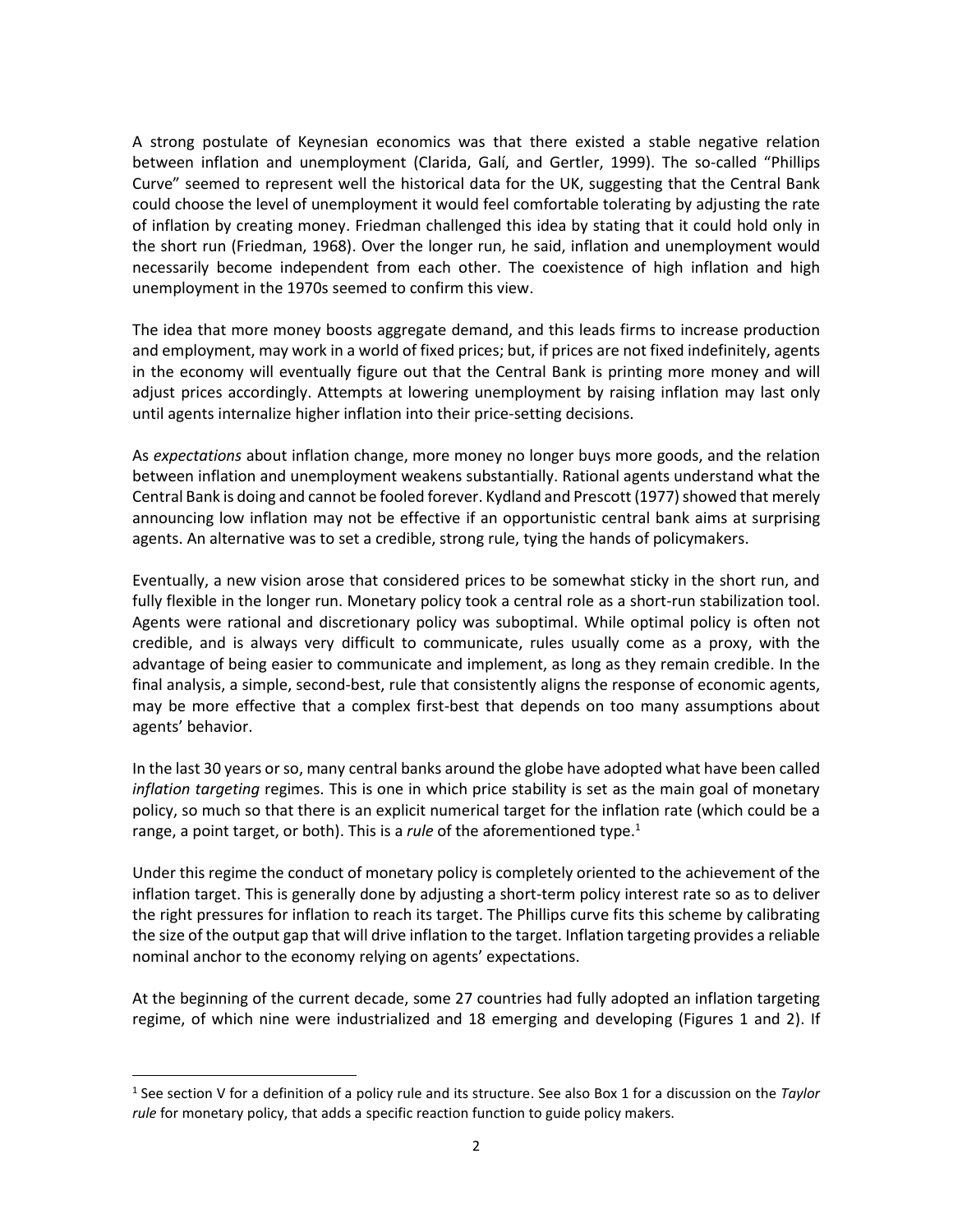A strong postulate of Keynesian economics was that there existed a stable negative relation between inflation and unemployment (Clarida, Galí, and Gertler, 1999). The so-called "Phillips Curve" seemed to represent well the historical data for the UK, suggesting that the Central Bank could choose the level of unemployment it would feel comfortable tolerating by adjusting the rate of inflation by creating money. Friedman challenged this idea by stating that it could hold only in the short run (Friedman, 1968). Over the longer run, he said, inflation and unemployment would necessarily become independent from each other. The coexistence of high inflation and high unemployment in the 1970s seemed to confirm this view.

The idea that more money boosts aggregate demand, and this leads firms to increase production and employment, may work in a world of fixed prices; but, if prices are not fixed indefinitely, agents in the economy will eventually figure out that the Central Bank is printing more money and will adjust prices accordingly. Attempts at lowering unemployment by raising inflation may last only until agents internalize higher inflation into their price-setting decisions.

As *expectations* about inflation change, more money no longer buys more goods, and the relation between inflation and unemployment weakens substantially. Rational agents understand what the Central Bank is doing and cannot be fooled forever. Kydland and Prescott (1977) showed that merely announcing low inflation may not be effective if an opportunistic central bank aims at surprising agents. An alternative was to set a credible, strong rule, tying the hands of policymakers.

Eventually, a new vision arose that considered prices to be somewhat sticky in the short run, and fully flexible in the longer run. Monetary policy took a central role as a short-run stabilization tool. Agents were rational and discretionary policy was suboptimal. While optimal policy is often not credible, and is always very difficult to communicate, rules usually come as a proxy, with the advantage of being easier to communicate and implement, as long as they remain credible. In the final analysis, a simple, second-best, rule that consistently aligns the response of economic agents, may be more effective that a complex first-best that depends on too many assumptions about agents' behavior.

In the last 30 years or so, many central banks around the globe have adopted what have been called *inflation targeting* regimes. This is one in which price stability is set as the main goal of monetary policy, so much so that there is an explicit numerical target for the inflation rate (which could be a range, a point target, or both). This is a *rule* of the aforementioned type. 1

Under this regime the conduct of monetary policy is completely oriented to the achievement of the inflation target. This is generally done by adjusting a short-term policy interest rate so as to deliver the right pressures for inflation to reach its target. The Phillips curve fits this scheme by calibrating the size of the output gap that will drive inflation to the target. Inflation targeting provides a reliable nominal anchor to the economy relying on agents' expectations.

At the beginning of the current decade, some 27 countries had fully adopted an inflation targeting regime, of which nine were industrialized and 18 emerging and developing (Figures 1 and 2). If

 $\overline{a}$ 

<sup>1</sup> See section V for a definition of a policy rule and its structure. See also Box 1 for a discussion on the *Taylor rule* for monetary policy, that adds a specific reaction function to guide policy makers.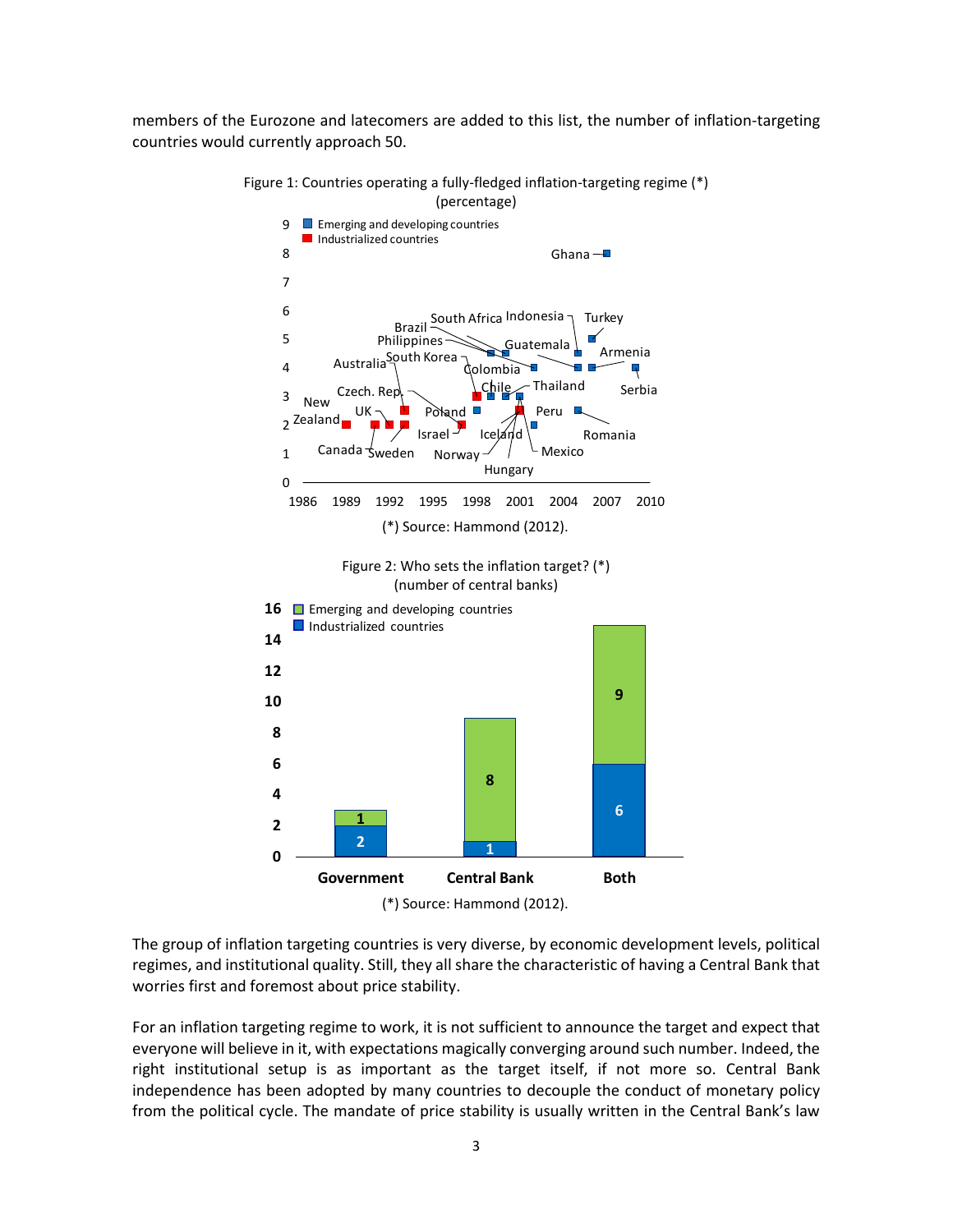members of the Eurozone and latecomers are added to this list, the number of inflation-targeting countries would currently approach 50.



Figure 1: Countries operating a fully-fledged inflation-targeting regime (\*) (percentage)

The group of inflation targeting countries is very diverse, by economic development levels, political regimes, and institutional quality. Still, they all share the characteristic of having a Central Bank that worries first and foremost about price stability.

For an inflation targeting regime to work, it is not sufficient to announce the target and expect that everyone will believe in it, with expectations magically converging around such number. Indeed, the right institutional setup is as important as the target itself, if not more so. Central Bank independence has been adopted by many countries to decouple the conduct of monetary policy from the political cycle. The mandate of price stability is usually written in the Central Bank's law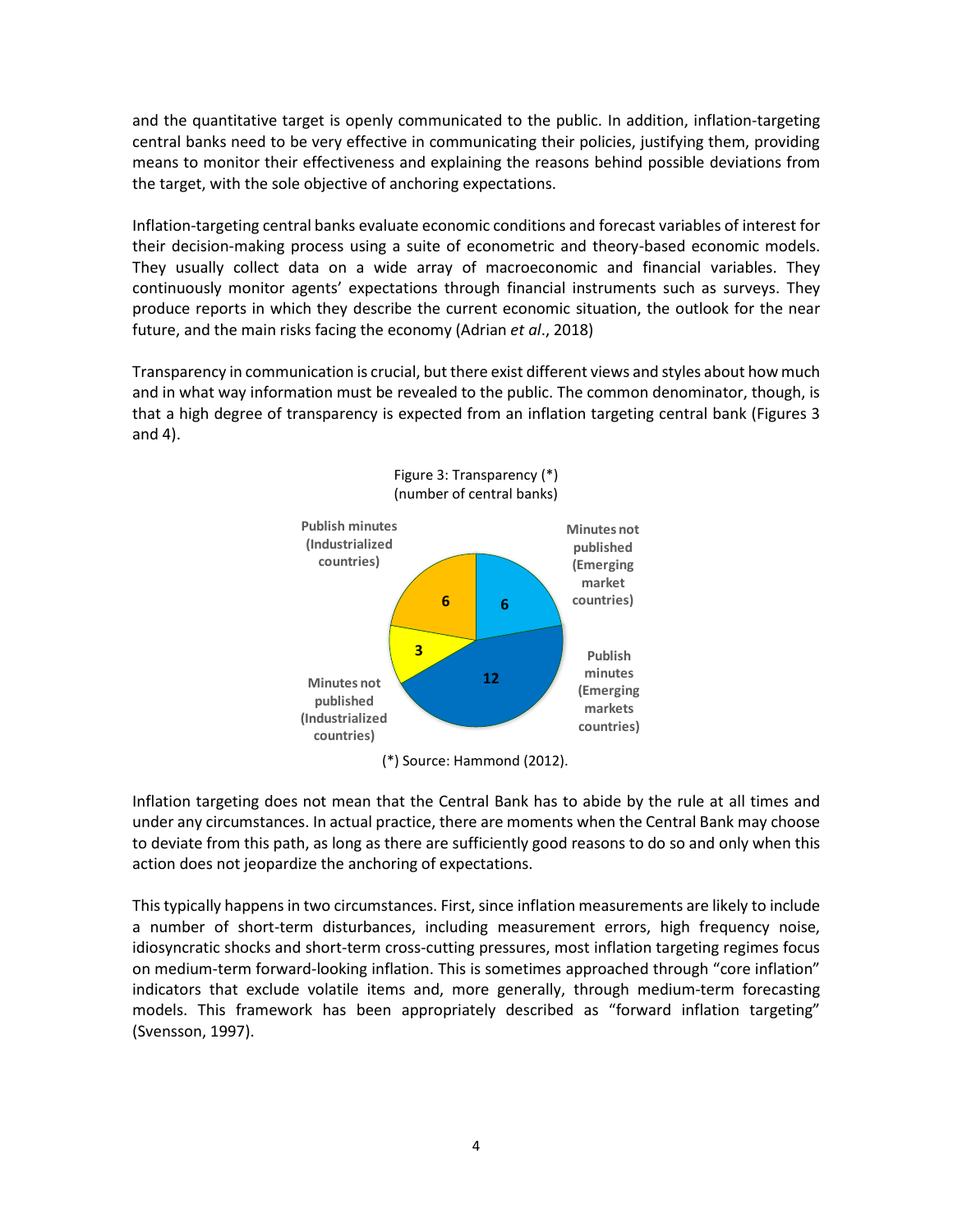and the quantitative target is openly communicated to the public. In addition, inflation-targeting central banks need to be very effective in communicating their policies, justifying them, providing means to monitor their effectiveness and explaining the reasons behind possible deviations from the target, with the sole objective of anchoring expectations.

Inflation-targeting central banks evaluate economic conditions and forecast variables of interest for their decision-making process using a suite of econometric and theory-based economic models. They usually collect data on a wide array of macroeconomic and financial variables. They continuously monitor agents' expectations through financial instruments such as surveys. They produce reports in which they describe the current economic situation, the outlook for the near future, and the main risks facing the economy (Adrian *et al*., 2018)

Transparency in communication is crucial, but there exist different views and styles about how much and in what way information must be revealed to the public. The common denominator, though, is that a high degree of transparency is expected from an inflation targeting central bank (Figures 3 and 4).



(\*) Source: Hammond (2012).

Inflation targeting does not mean that the Central Bank has to abide by the rule at all times and under any circumstances. In actual practice, there are moments when the Central Bank may choose to deviate from this path, as long as there are sufficiently good reasons to do so and only when this action does not jeopardize the anchoring of expectations.

This typically happens in two circumstances. First, since inflation measurements are likely to include a number of short-term disturbances, including measurement errors, high frequency noise, idiosyncratic shocks and short-term cross-cutting pressures, most inflation targeting regimes focus on medium-term forward-looking inflation. This is sometimes approached through "core inflation" indicators that exclude volatile items and, more generally, through medium-term forecasting models. This framework has been appropriately described as "forward inflation targeting" (Svensson, 1997).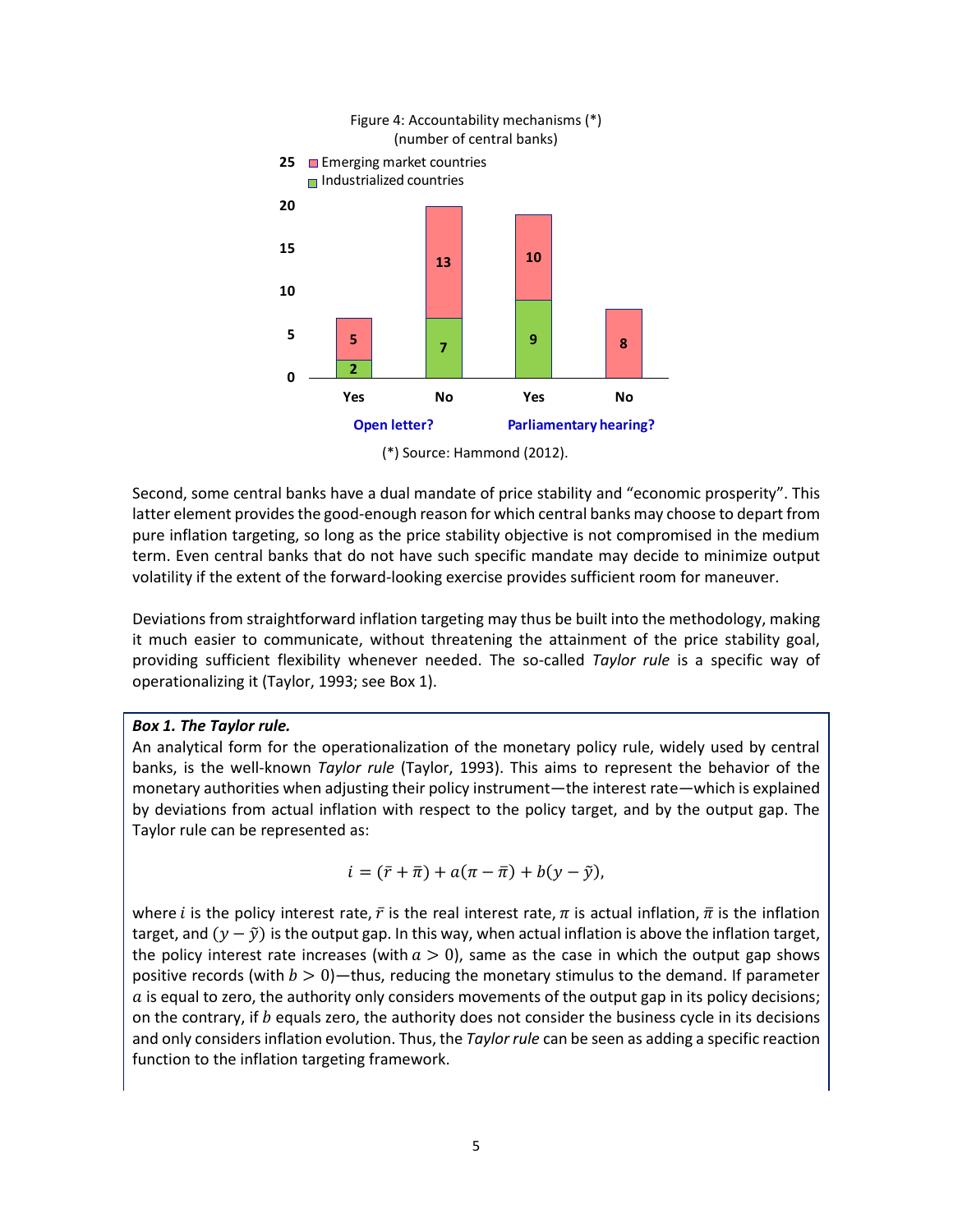

(\*) Source: Hammond (2012).

Second, some central banks have a dual mandate of price stability and "economic prosperity". This latter element provides the good-enough reason for which central banks may choose to depart from pure inflation targeting, so long as the price stability objective is not compromised in the medium term. Even central banks that do not have such specific mandate may decide to minimize output volatility if the extent of the forward-looking exercise provides sufficient room for maneuver.

Deviations from straightforward inflation targeting may thus be built into the methodology, making it much easier to communicate, without threatening the attainment of the price stability goal, providing sufficient flexibility whenever needed. The so-called *Taylor rule* is a specific way of operationalizing it (Taylor, 1993; see Box 1).

### *Box 1. The Taylor rule.*

An analytical form for the operationalization of the monetary policy rule, widely used by central banks, is the well-known *Taylor rule* (Taylor, 1993). This aims to represent the behavior of the monetary authorities when adjusting their policy instrument—the interest rate—which is explained by deviations from actual inflation with respect to the policy target, and by the output gap. The Taylor rule can be represented as:

$$
i = (\bar{r} + \bar{\pi}) + a(\pi - \bar{\pi}) + b(y - \tilde{y}),
$$

where *i* is the policy interest rate,  $\bar{r}$  is the real interest rate,  $\pi$  is actual inflation,  $\bar{\pi}$  is the inflation target, and  $(\gamma - \tilde{\gamma})$  is the output gap. In this way, when actual inflation is above the inflation target, the policy interest rate increases (with  $a > 0$ ), same as the case in which the output gap shows positive records (with  $b > 0$ )—thus, reducing the monetary stimulus to the demand. If parameter  $\alpha$  is equal to zero, the authority only considers movements of the output gap in its policy decisions; on the contrary, if  $b$  equals zero, the authority does not consider the business cycle in its decisions and only considers inflation evolution. Thus, the *Taylor rule* can be seen as adding a specific reaction function to the inflation targeting framework.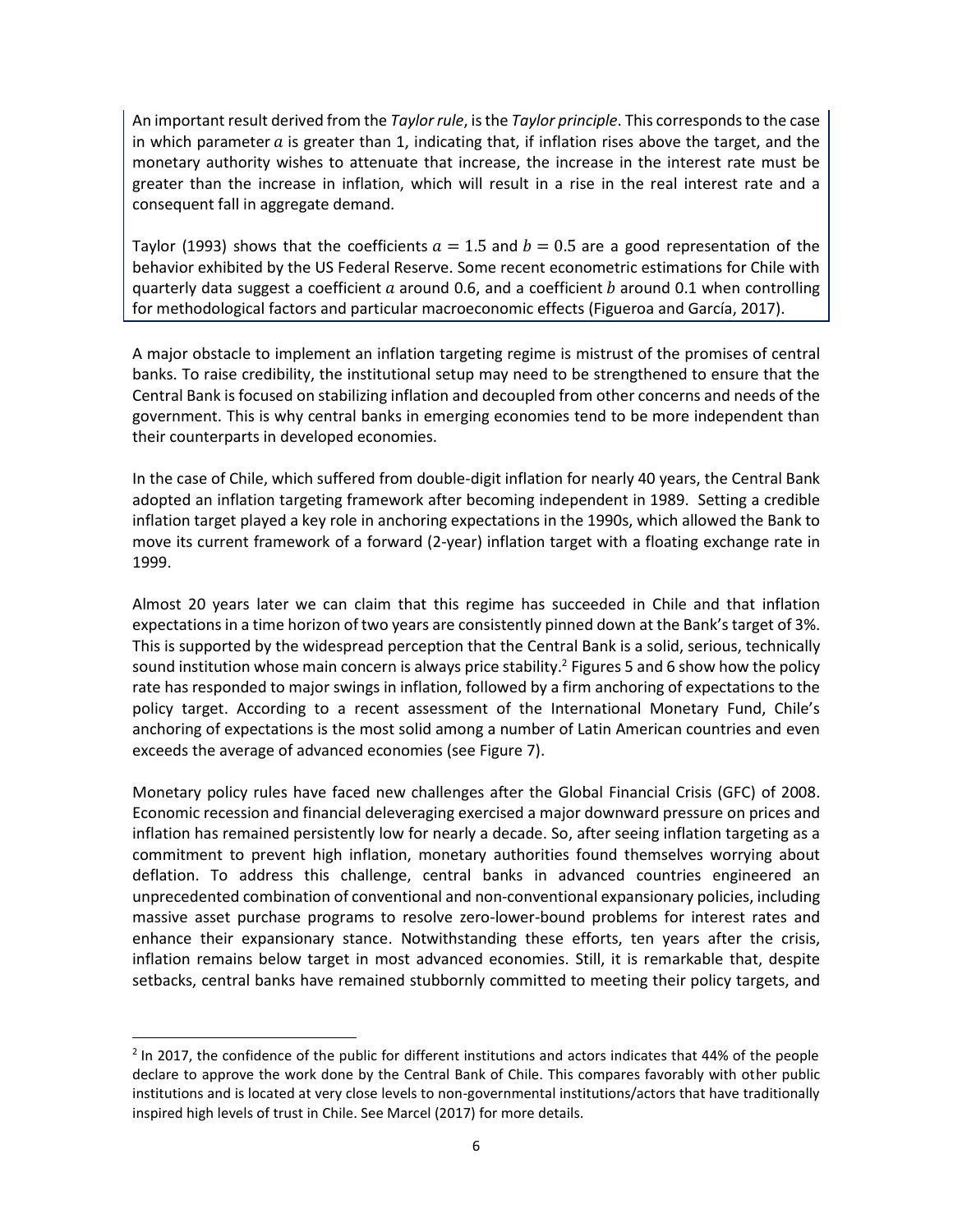An important result derived from the *Taylor rule*, is the *Taylor principle*. This corresponds to the case in which parameter  $\alpha$  is greater than 1, indicating that, if inflation rises above the target, and the monetary authority wishes to attenuate that increase, the increase in the interest rate must be greater than the increase in inflation, which will result in a rise in the real interest rate and a consequent fall in aggregate demand.

Taylor (1993) shows that the coefficients  $a = 1.5$  and  $b = 0.5$  are a good representation of the behavior exhibited by the US Federal Reserve. Some recent econometric estimations for Chile with quarterly data suggest a coefficient  $a$  around 0.6, and a coefficient  $b$  around 0.1 when controlling for methodological factors and particular macroeconomic effects (Figueroa and García, 2017).

A major obstacle to implement an inflation targeting regime is mistrust of the promises of central banks. To raise credibility, the institutional setup may need to be strengthened to ensure that the Central Bank is focused on stabilizing inflation and decoupled from other concerns and needs of the government. This is why central banks in emerging economies tend to be more independent than their counterparts in developed economies.

In the case of Chile, which suffered from double-digit inflation for nearly 40 years, the Central Bank adopted an inflation targeting framework after becoming independent in 1989. Setting a credible inflation target played a key role in anchoring expectations in the 1990s, which allowed the Bank to move its current framework of a forward (2-year) inflation target with a floating exchange rate in 1999.

Almost 20 years later we can claim that this regime has succeeded in Chile and that inflation expectations in a time horizon of two years are consistently pinned down at the Bank's target of 3%. This is supported by the widespread perception that the Central Bank is a solid, serious, technically sound institution whose main concern is always price stability.<sup>2</sup> Figures 5 and 6 show how the policy rate has responded to major swings in inflation, followed by a firm anchoring of expectations to the policy target. According to a recent assessment of the International Monetary Fund, Chile's anchoring of expectations is the most solid among a number of Latin American countries and even exceeds the average of advanced economies (see Figure 7).

Monetary policy rules have faced new challenges after the Global Financial Crisis (GFC) of 2008. Economic recession and financial deleveraging exercised a major downward pressure on prices and inflation has remained persistently low for nearly a decade. So, after seeing inflation targeting as a commitment to prevent high inflation, monetary authorities found themselves worrying about deflation. To address this challenge, central banks in advanced countries engineered an unprecedented combination of conventional and non-conventional expansionary policies, including massive asset purchase programs to resolve zero-lower-bound problems for interest rates and enhance their expansionary stance. Notwithstanding these efforts, ten years after the crisis, inflation remains below target in most advanced economies. Still, it is remarkable that, despite setbacks, central banks have remained stubbornly committed to meeting their policy targets, and

l

 $2$  In 2017, the confidence of the public for different institutions and actors indicates that 44% of the people declare to approve the work done by the Central Bank of Chile. This compares favorably with other public institutions and is located at very close levels to non-governmental institutions/actors that have traditionally inspired high levels of trust in Chile. See Marcel (2017) for more details.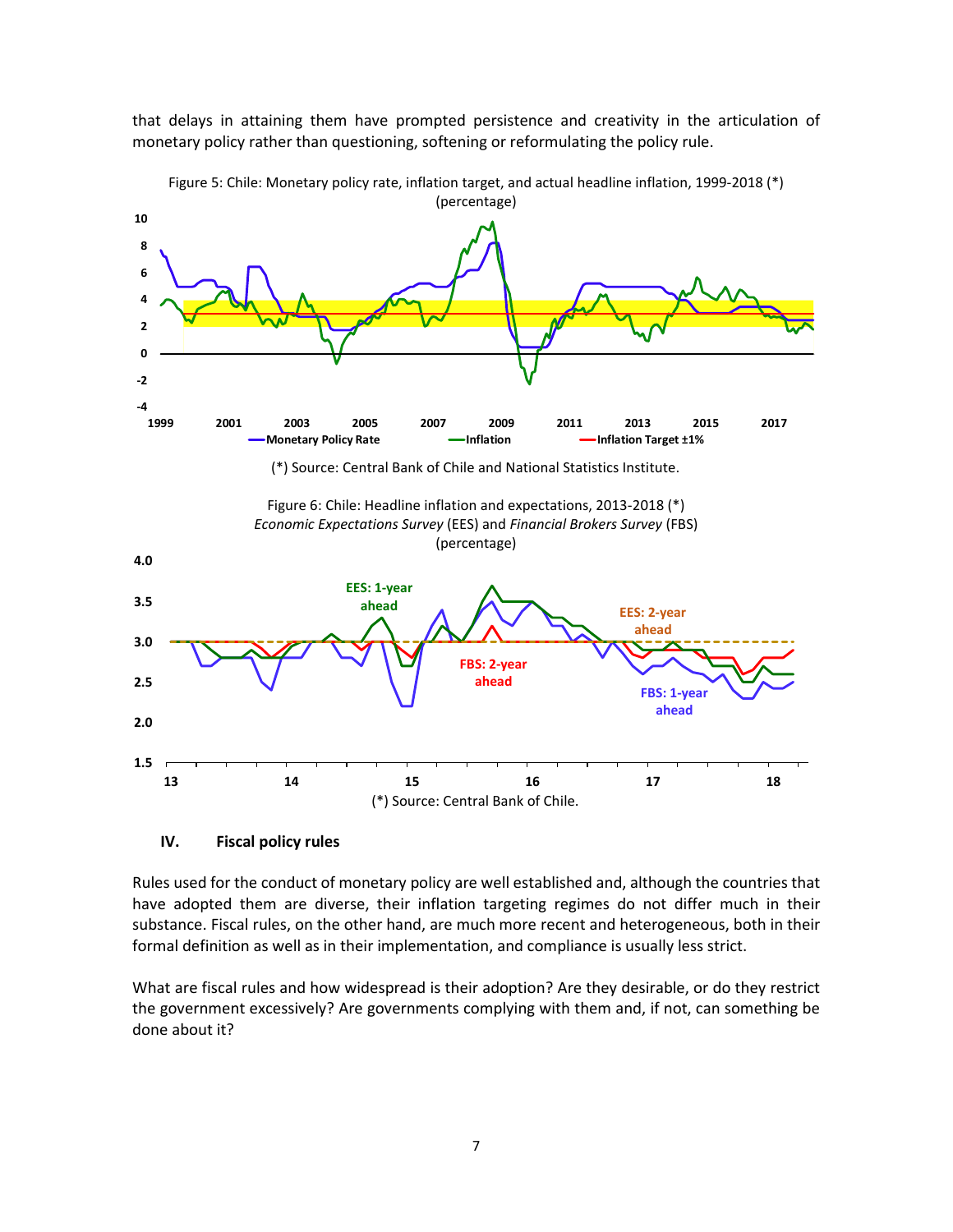that delays in attaining them have prompted persistence and creativity in the articulation of monetary policy rather than questioning, softening or reformulating the policy rule.



Figure 5: Chile: Monetary policy rate, inflation target, and actual headline inflation, 1999-2018 (\*) (percentage)

#### **IV. Fiscal policy rules**

Rules used for the conduct of monetary policy are well established and, although the countries that have adopted them are diverse, their inflation targeting regimes do not differ much in their substance. Fiscal rules, on the other hand, are much more recent and heterogeneous, both in their formal definition as well as in their implementation, and compliance is usually less strict.

What are fiscal rules and how widespread is their adoption? Are they desirable, or do they restrict the government excessively? Are governments complying with them and, if not, can something be done about it?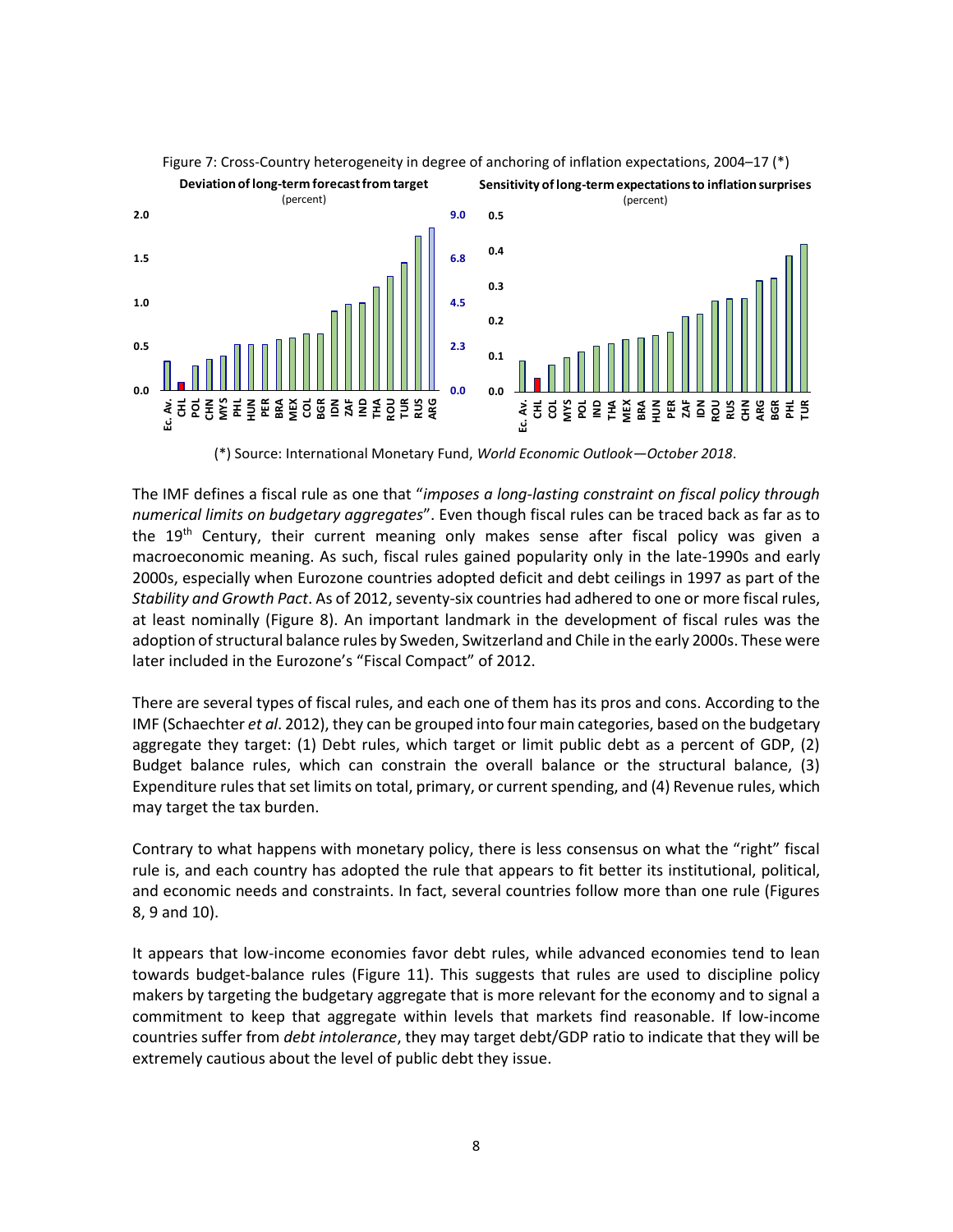

Figure 7: Cross-Country heterogeneity in degree of anchoring of inflation expectations, 2004–17 (\*)

(\*) Source: International Monetary Fund, *World Economic Outlook—October 2018*.

The IMF defines a fiscal rule as one that "*imposes a long-lasting constraint on fiscal policy through numerical limits on budgetary aggregates*". Even though fiscal rules can be traced back as far as to the 19<sup>th</sup> Century, their current meaning only makes sense after fiscal policy was given a macroeconomic meaning. As such, fiscal rules gained popularity only in the late-1990s and early 2000s, especially when Eurozone countries adopted deficit and debt ceilings in 1997 as part of the *Stability and Growth Pact*. As of 2012, seventy-six countries had adhered to one or more fiscal rules, at least nominally (Figure 8). An important landmark in the development of fiscal rules was the adoption of structural balance rules by Sweden, Switzerland and Chile in the early 2000s. These were later included in the Eurozone's "Fiscal Compact" of 2012.

There are several types of fiscal rules, and each one of them has its pros and cons. According to the IMF (Schaechter *et al*. 2012), they can be grouped into four main categories, based on the budgetary aggregate they target: (1) Debt rules, which target or limit public debt as a percent of GDP, (2) Budget balance rules, which can constrain the overall balance or the structural balance, (3) Expenditure rules that set limits on total, primary, or current spending, and (4) Revenue rules, which may target the tax burden.

Contrary to what happens with monetary policy, there is less consensus on what the "right" fiscal rule is, and each country has adopted the rule that appears to fit better its institutional, political, and economic needs and constraints. In fact, several countries follow more than one rule (Figures 8, 9 and 10).

It appears that low-income economies favor debt rules, while advanced economies tend to lean towards budget-balance rules (Figure 11). This suggests that rules are used to discipline policy makers by targeting the budgetary aggregate that is more relevant for the economy and to signal a commitment to keep that aggregate within levels that markets find reasonable. If low-income countries suffer from *debt intolerance*, they may target debt/GDP ratio to indicate that they will be extremely cautious about the level of public debt they issue.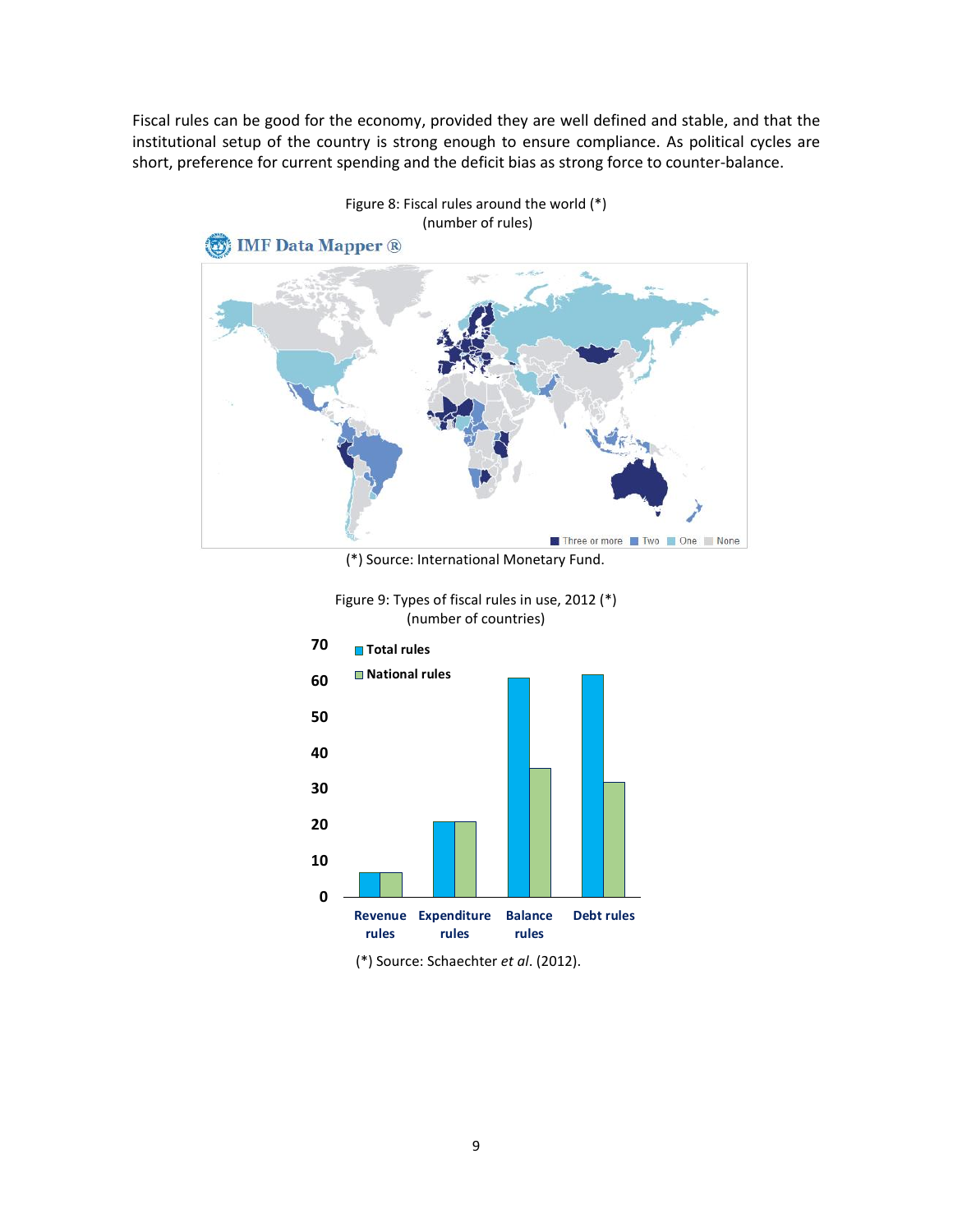Fiscal rules can be good for the economy, provided they are well defined and stable, and that the institutional setup of the country is strong enough to ensure compliance. As political cycles are short, preference for current spending and the deficit bias as strong force to counter-balance.



Figure 8: Fiscal rules around the world (\*) (number of rules)

(\*) Source: International Monetary Fund.





(\*) Source: Schaechter *et al*. (2012).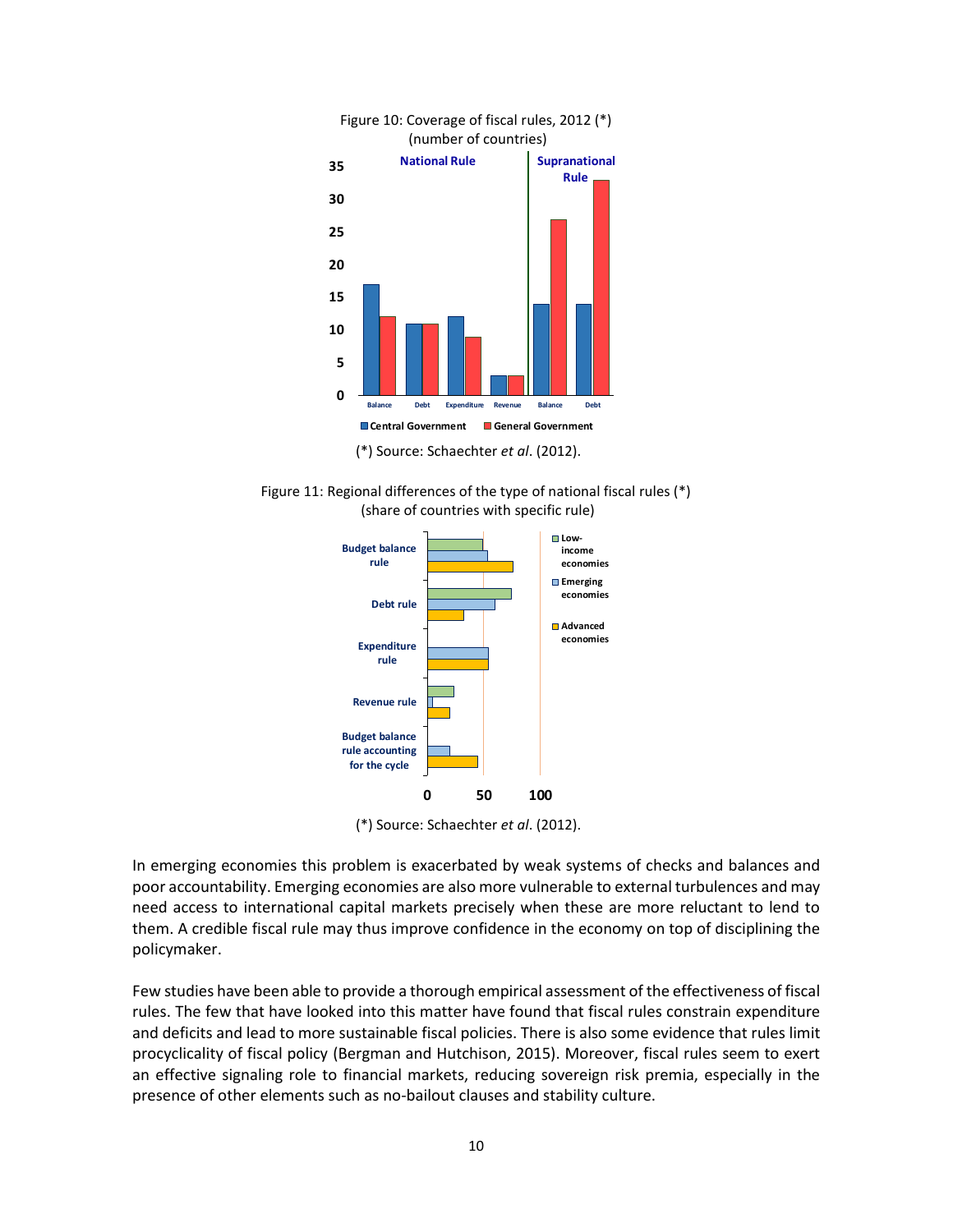

Figure 11: Regional differences of the type of national fiscal rules (\*) (share of countries with specific rule)



(\*) Source: Schaechter *et al*. (2012).

In emerging economies this problem is exacerbated by weak systems of checks and balances and poor accountability. Emerging economies are also more vulnerable to external turbulences and may need access to international capital markets precisely when these are more reluctant to lend to them. A credible fiscal rule may thus improve confidence in the economy on top of disciplining the policymaker.

Few studies have been able to provide a thorough empirical assessment of the effectiveness of fiscal rules. The few that have looked into this matter have found that fiscal rules constrain expenditure and deficits and lead to more sustainable fiscal policies. There is also some evidence that rules limit procyclicality of fiscal policy (Bergman and Hutchison, 2015). Moreover, fiscal rules seem to exert an effective signaling role to financial markets, reducing sovereign risk premia, especially in the presence of other elements such as no-bailout clauses and stability culture.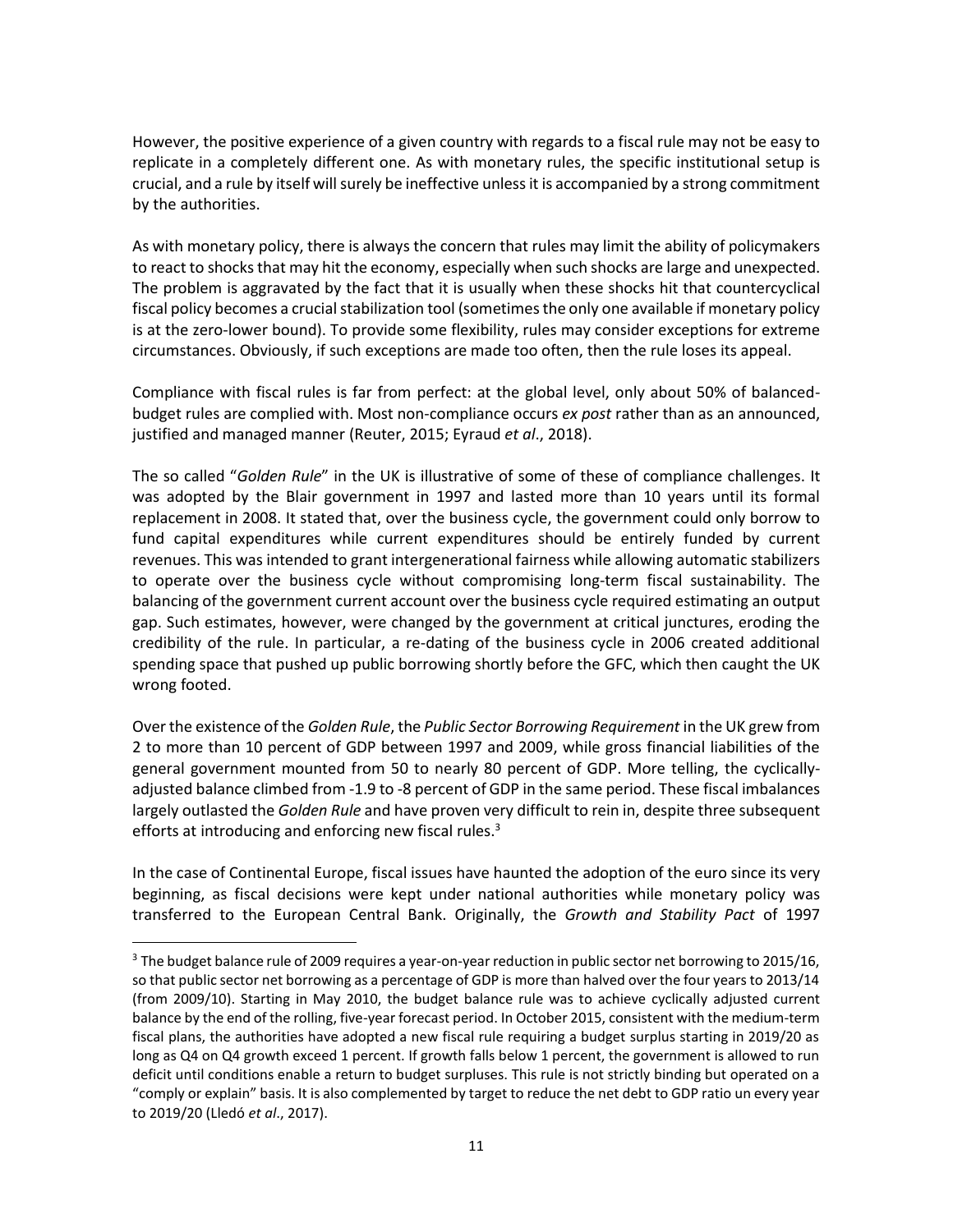However, the positive experience of a given country with regards to a fiscal rule may not be easy to replicate in a completely different one. As with monetary rules, the specific institutional setup is crucial, and a rule by itself will surely be ineffective unless it is accompanied by a strong commitment by the authorities.

As with monetary policy, there is always the concern that rules may limit the ability of policymakers to react to shocks that may hit the economy, especially when such shocks are large and unexpected. The problem is aggravated by the fact that it is usually when these shocks hit that countercyclical fiscal policy becomes a crucial stabilization tool (sometimes the only one available if monetary policy is at the zero-lower bound). To provide some flexibility, rules may consider exceptions for extreme circumstances. Obviously, if such exceptions are made too often, then the rule loses its appeal.

Compliance with fiscal rules is far from perfect: at the global level, only about 50% of balancedbudget rules are complied with. Most non-compliance occurs *ex post* rather than as an announced, justified and managed manner (Reuter, 2015; Eyraud *et al*., 2018).

The so called "*Golden Rule*" in the UK is illustrative of some of these of compliance challenges. It was adopted by the Blair government in 1997 and lasted more than 10 years until its formal replacement in 2008. It stated that, over the business cycle, the government could only borrow to fund capital expenditures while current expenditures should be entirely funded by current revenues. This was intended to grant intergenerational fairness while allowing automatic stabilizers to operate over the business cycle without compromising long-term fiscal sustainability. The balancing of the government current account over the business cycle required estimating an output gap. Such estimates, however, were changed by the government at critical junctures, eroding the credibility of the rule. In particular, a re-dating of the business cycle in 2006 created additional spending space that pushed up public borrowing shortly before the GFC, which then caught the UK wrong footed.

Over the existence of the *Golden Rule*, the *Public Sector Borrowing Requirement* in the UK grew from 2 to more than 10 percent of GDP between 1997 and 2009, while gross financial liabilities of the general government mounted from 50 to nearly 80 percent of GDP. More telling, the cyclicallyadjusted balance climbed from -1.9 to -8 percent of GDP in the same period. These fiscal imbalances largely outlasted the *Golden Rule* and have proven very difficult to rein in, despite three subsequent efforts at introducing and enforcing new fiscal rules.<sup>3</sup>

In the case of Continental Europe, fiscal issues have haunted the adoption of the euro since its very beginning, as fiscal decisions were kept under national authorities while monetary policy was transferred to the European Central Bank. Originally, the *Growth and Stability Pact* of 1997

 $\overline{\phantom{a}}$ 

<sup>&</sup>lt;sup>3</sup> The budget balance rule of 2009 requires a year-on-year reduction in public sector net borrowing to 2015/16, so that public sector net borrowing as a percentage of GDP is more than halved over the four years to 2013/14 (from 2009/10). Starting in May 2010, the budget balance rule was to achieve cyclically adjusted current balance by the end of the rolling, five-year forecast period. In October 2015, consistent with the medium-term fiscal plans, the authorities have adopted a new fiscal rule requiring a budget surplus starting in 2019/20 as long as Q4 on Q4 growth exceed 1 percent. If growth falls below 1 percent, the government is allowed to run deficit until conditions enable a return to budget surpluses. This rule is not strictly binding but operated on a "comply or explain" basis. It is also complemented by target to reduce the net debt to GDP ratio un every year to 2019/20 (Lledó *et al*., 2017).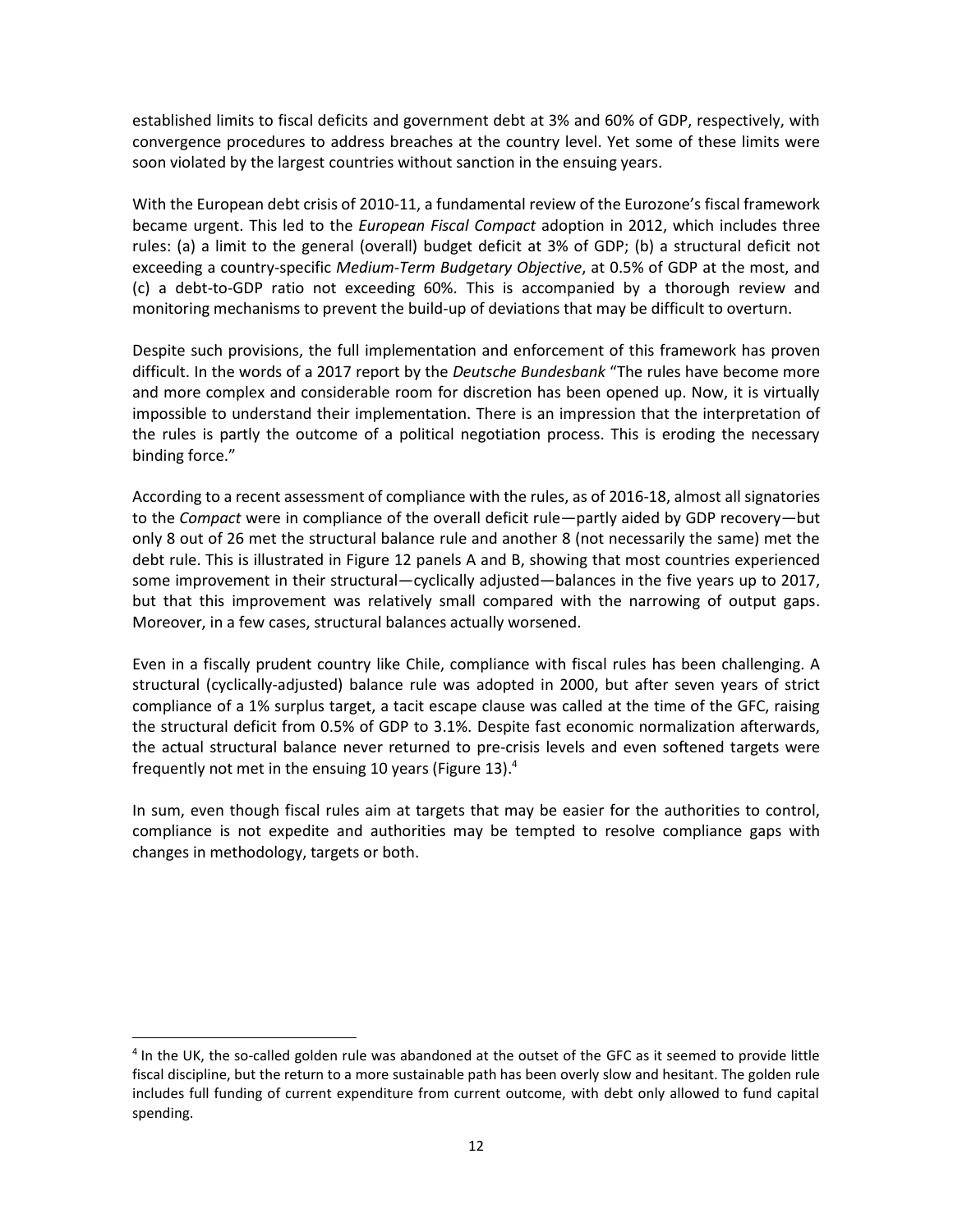established limits to fiscal deficits and government debt at 3% and 60% of GDP, respectively, with convergence procedures to address breaches at the country level. Yet some of these limits were soon violated by the largest countries without sanction in the ensuing years.

With the European debt crisis of 2010-11, a fundamental review of the Eurozone's fiscal framework became urgent. This led to the *European Fiscal Compact* adoption in 2012, which includes three rules: (a) a limit to the general (overall) budget deficit at 3% of GDP; (b) a structural deficit not exceeding a country-specific *Medium-Term Budgetary Objective*, at 0.5% of GDP at the most, and (c) a debt-to-GDP ratio not exceeding 60%. This is accompanied by a thorough review and monitoring mechanisms to prevent the build-up of deviations that may be difficult to overturn.

Despite such provisions, the full implementation and enforcement of this framework has proven difficult. In the words of a 2017 report by the *Deutsche Bundesbank* "The rules have become more and more complex and considerable room for discretion has been opened up. Now, it is virtually impossible to understand their implementation. There is an impression that the interpretation of the rules is partly the outcome of a political negotiation process. This is eroding the necessary binding force."

According to a recent assessment of compliance with the rules, as of 2016-18, almost all signatories to the *Compact* were in compliance of the overall deficit rule—partly aided by GDP recovery—but only 8 out of 26 met the structural balance rule and another 8 (not necessarily the same) met the debt rule. This is illustrated in Figure 12 panels A and B, showing that most countries experienced some improvement in their structural—cyclically adjusted—balances in the five years up to 2017, but that this improvement was relatively small compared with the narrowing of output gaps. Moreover, in a few cases, structural balances actually worsened.

Even in a fiscally prudent country like Chile, compliance with fiscal rules has been challenging. A structural (cyclically-adjusted) balance rule was adopted in 2000, but after seven years of strict compliance of a 1% surplus target, a tacit escape clause was called at the time of the GFC, raising the structural deficit from 0.5% of GDP to 3.1%. Despite fast economic normalization afterwards, the actual structural balance never returned to pre-crisis levels and even softened targets were frequently not met in the ensuing 10 years (Figure 13).<sup>4</sup>

In sum, even though fiscal rules aim at targets that may be easier for the authorities to control, compliance is not expedite and authorities may be tempted to resolve compliance gaps with changes in methodology, targets or both.

l

<sup>&</sup>lt;sup>4</sup> In the UK, the so-called golden rule was abandoned at the outset of the GFC as it seemed to provide little fiscal discipline, but the return to a more sustainable path has been overly slow and hesitant. The golden rule includes full funding of current expenditure from current outcome, with debt only allowed to fund capital spending.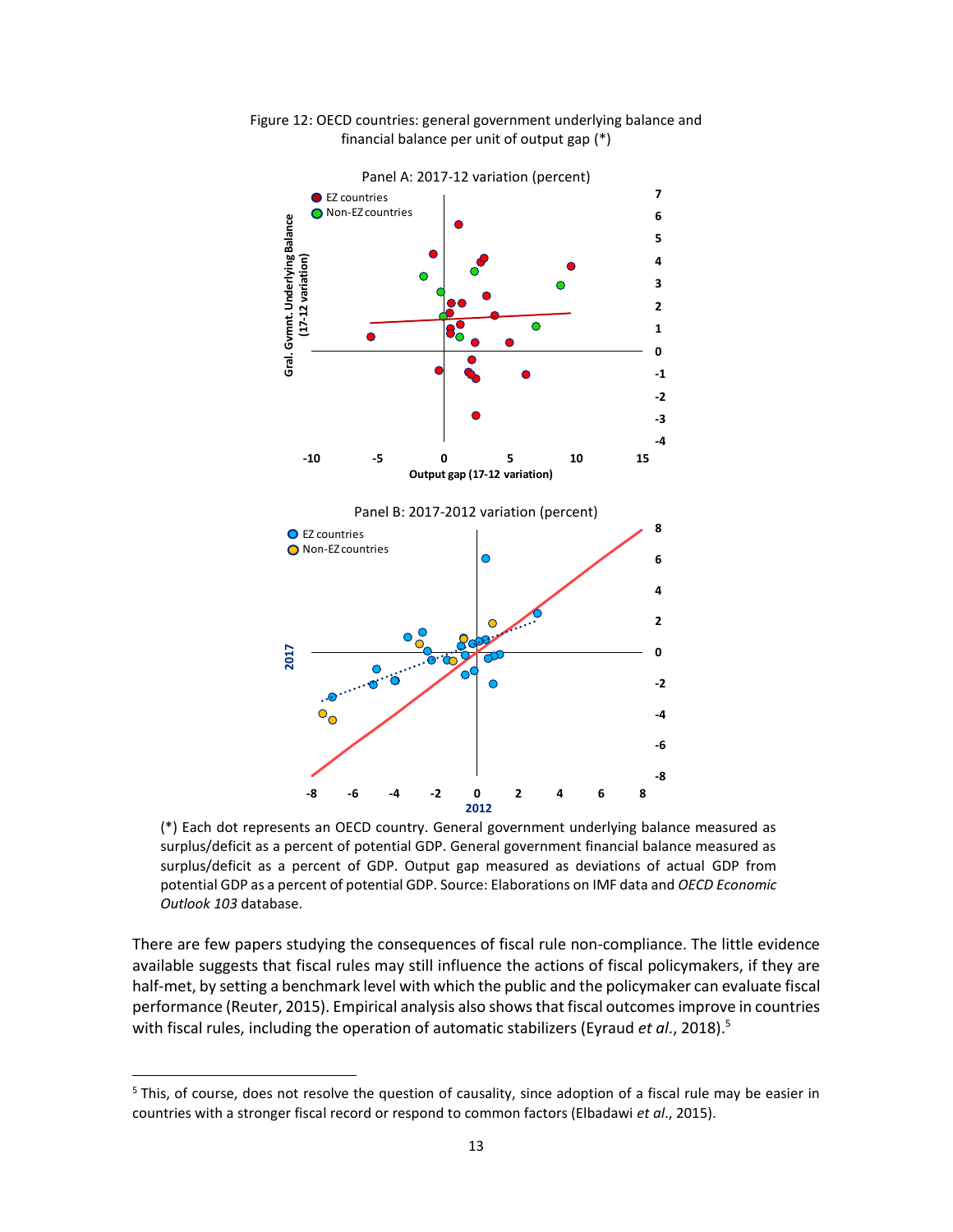

Figure 12: OECD countries: general government underlying balance and financial balance per unit of output gap (\*)

(\*) Each dot represents an OECD country. General government underlying balance measured as surplus/deficit as a percent of potential GDP. General government financial balance measured as surplus/deficit as a percent of GDP. Output gap measured as deviations of actual GDP from potential GDP as a percent of potential GDP. Source: Elaborations on IMF data and *OECD Economic Outlook 103* database.

There are few papers studying the consequences of fiscal rule non-compliance. The little evidence available suggests that fiscal rules may still influence the actions of fiscal policymakers, if they are half-met, by setting a benchmark level with which the public and the policymaker can evaluate fiscal performance (Reuter, 2015). Empirical analysis also shows that fiscal outcomes improve in countries with fiscal rules, including the operation of automatic stabilizers (Eyraud *et al.*, 2018).<sup>5</sup>

 $\overline{\phantom{a}}$ 

<sup>&</sup>lt;sup>5</sup> This, of course, does not resolve the question of causality, since adoption of a fiscal rule may be easier in countries with a stronger fiscal record or respond to common factors (Elbadawi *et al*., 2015).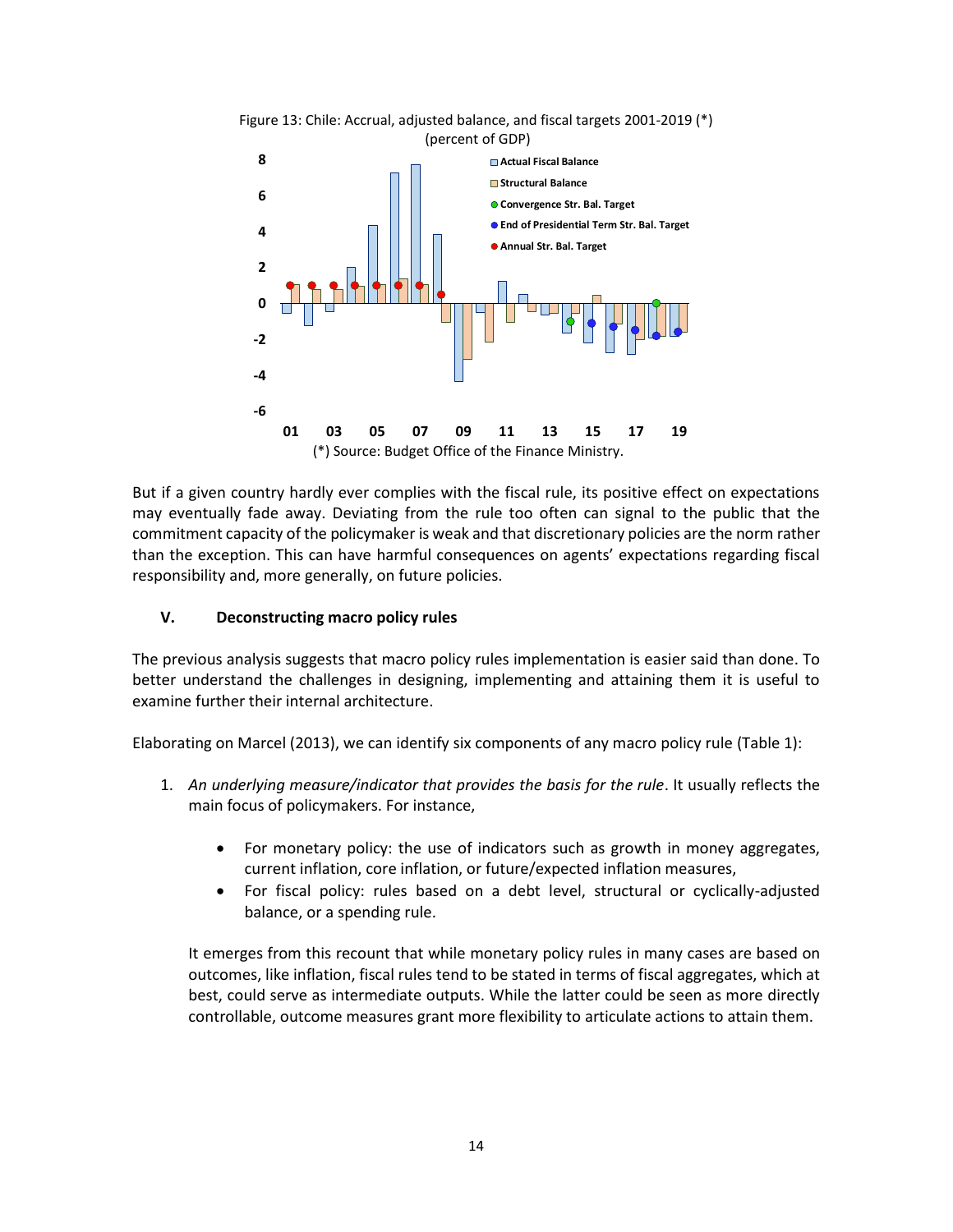

But if a given country hardly ever complies with the fiscal rule, its positive effect on expectations may eventually fade away. Deviating from the rule too often can signal to the public that the commitment capacity of the policymaker is weak and that discretionary policies are the norm rather than the exception. This can have harmful consequences on agents' expectations regarding fiscal responsibility and, more generally, on future policies.

### **V. Deconstructing macro policy rules**

The previous analysis suggests that macro policy rules implementation is easier said than done. To better understand the challenges in designing, implementing and attaining them it is useful to examine further their internal architecture.

Elaborating on Marcel (2013), we can identify six components of any macro policy rule (Table 1):

- 1. An underlying measure/indicator that provides the basis for the rule. It usually reflects the main focus of policymakers. For instance,
	- For monetary policy: the use of indicators such as growth in money aggregates, current inflation, core inflation, or future/expected inflation measures,
	- For fiscal policy: rules based on a debt level, structural or cyclically-adjusted balance, or a spending rule.

It emerges from this recount that while monetary policy rules in many cases are based on outcomes, like inflation, fiscal rules tend to be stated in terms of fiscal aggregates, which at best, could serve as intermediate outputs. While the latter could be seen as more directly controllable, outcome measures grant more flexibility to articulate actions to attain them.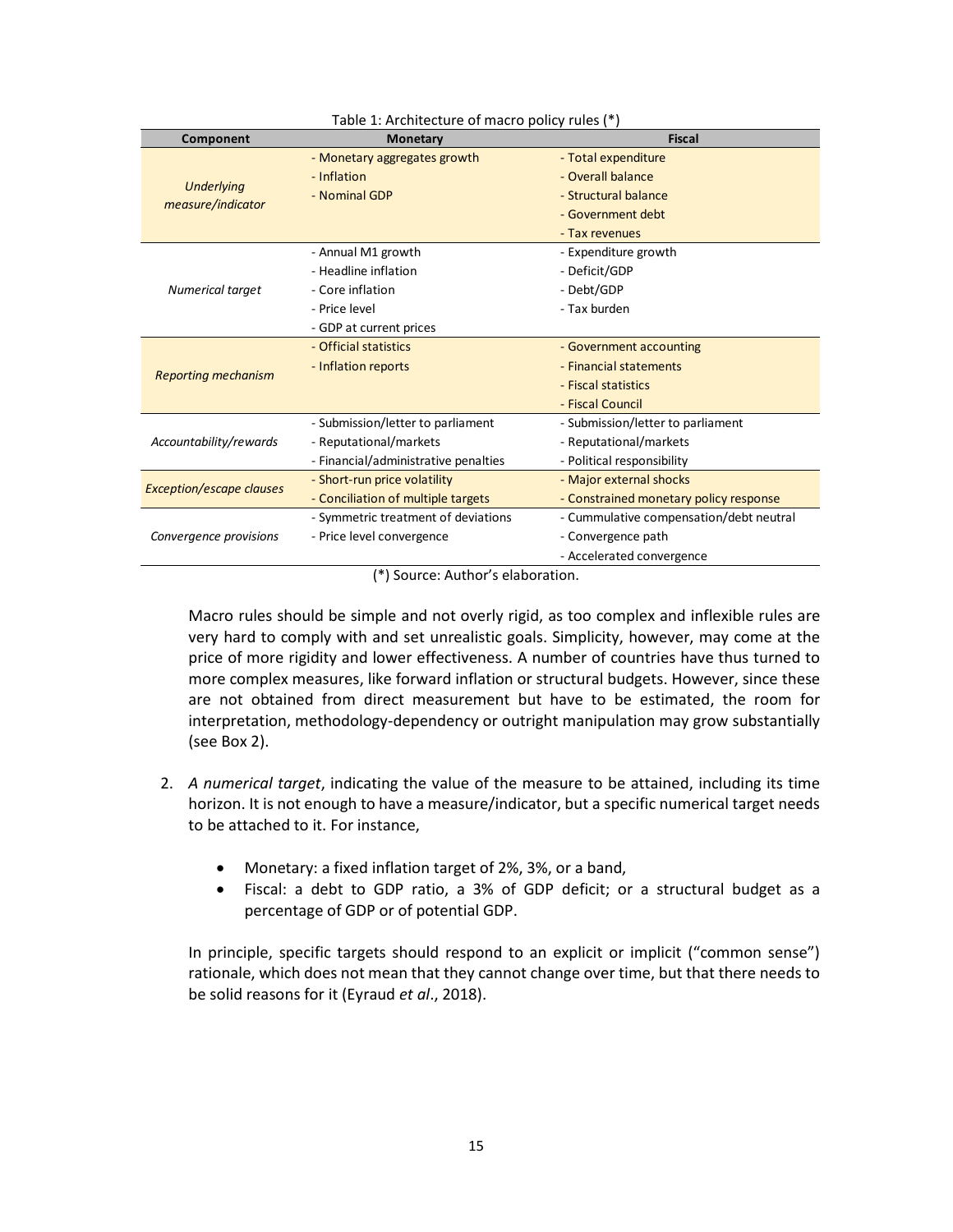| Component                              | <b>Monetary</b>                      | <b>Fiscal</b>                           |  |
|----------------------------------------|--------------------------------------|-----------------------------------------|--|
| <b>Underlying</b><br>measure/indicator | - Monetary aggregates growth         | - Total expenditure                     |  |
|                                        | - Inflation                          | - Overall balance                       |  |
|                                        | - Nominal GDP                        | - Structural balance                    |  |
|                                        |                                      | - Government debt                       |  |
|                                        |                                      | - Tax revenues                          |  |
| Numerical target                       | - Annual M1 growth                   | - Expenditure growth                    |  |
|                                        | - Headline inflation                 | - Deficit/GDP                           |  |
|                                        | - Core inflation                     | - Debt/GDP                              |  |
|                                        | - Price level                        | - Tax burden                            |  |
|                                        | - GDP at current prices              |                                         |  |
| <b>Reporting mechanism</b>             | - Official statistics                | - Government accounting                 |  |
|                                        | - Inflation reports                  | - Financial statements                  |  |
|                                        |                                      | - Fiscal statistics                     |  |
|                                        |                                      | - Fiscal Council                        |  |
| Accountability/rewards                 | - Submission/letter to parliament    | - Submission/letter to parliament       |  |
|                                        | - Reputational/markets               | - Reputational/markets                  |  |
|                                        | - Financial/administrative penalties | - Political responsibility              |  |
| <b>Exception/escape clauses</b>        | - Short-run price volatility         | - Major external shocks                 |  |
|                                        | - Conciliation of multiple targets   | - Constrained monetary policy response  |  |
| Convergence provisions                 | - Symmetric treatment of deviations  | - Cummulative compensation/debt neutral |  |
|                                        | - Price level convergence            | - Convergence path                      |  |
|                                        |                                      | - Accelerated convergence               |  |

#### Table 1: Architecture of macro policy rules (\*)

(\*) Source: Author's elaboration.

Macro rules should be simple and not overly rigid, as too complex and inflexible rules are very hard to comply with and set unrealistic goals. Simplicity, however, may come at the price of more rigidity and lower effectiveness. A number of countries have thus turned to more complex measures, like forward inflation or structural budgets. However, since these are not obtained from direct measurement but have to be estimated, the room for interpretation, methodology-dependency or outright manipulation may grow substantially (see Box 2).

- 2. *A numerical target*, indicating the value of the measure to be attained, including its time horizon. It is not enough to have a measure/indicator, but a specific numerical target needs to be attached to it. For instance,
	- Monetary: a fixed inflation target of 2%, 3%, or a band,
	- Fiscal: a debt to GDP ratio, a 3% of GDP deficit; or a structural budget as a percentage of GDP or of potential GDP.

In principle, specific targets should respond to an explicit or implicit ("common sense") rationale, which does not mean that they cannot change over time, but that there needs to be solid reasons for it (Eyraud *et al*., 2018).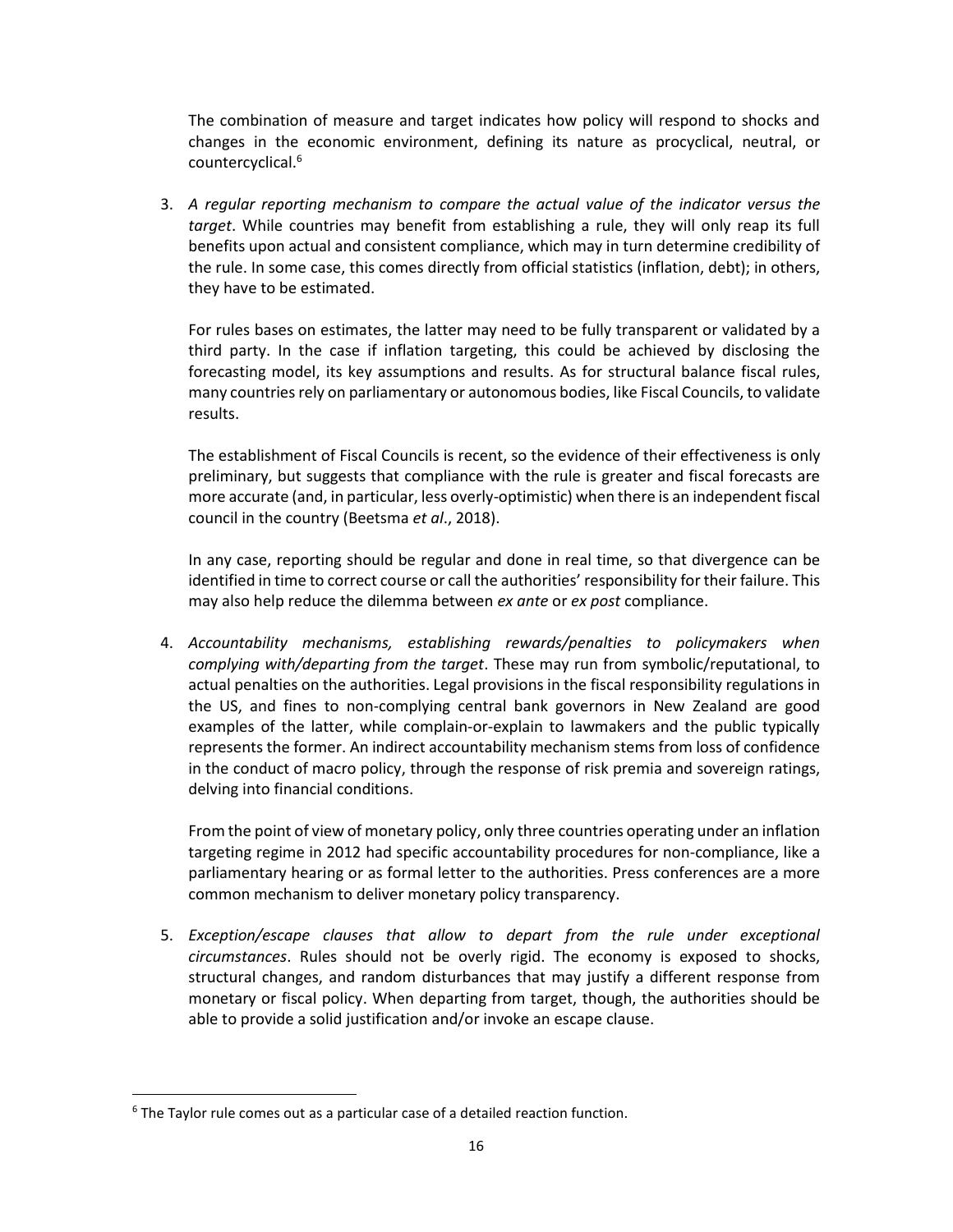The combination of measure and target indicates how policy will respond to shocks and changes in the economic environment, defining its nature as procyclical, neutral, or countercyclical.<sup>6</sup>

3. *A regular reporting mechanism to compare the actual value of the indicator versus the target*. While countries may benefit from establishing a rule, they will only reap its full benefits upon actual and consistent compliance, which may in turn determine credibility of the rule. In some case, this comes directly from official statistics (inflation, debt); in others, they have to be estimated.

For rules bases on estimates, the latter may need to be fully transparent or validated by a third party. In the case if inflation targeting, this could be achieved by disclosing the forecasting model, its key assumptions and results. As for structural balance fiscal rules, many countries rely on parliamentary or autonomous bodies, like Fiscal Councils, to validate results.

The establishment of Fiscal Councils is recent, so the evidence of their effectiveness is only preliminary, but suggests that compliance with the rule is greater and fiscal forecasts are more accurate (and, in particular, less overly-optimistic) when there is an independent fiscal council in the country (Beetsma *et al*., 2018).

In any case, reporting should be regular and done in real time, so that divergence can be identified in time to correct course or call the authorities' responsibility for their failure. This may also help reduce the dilemma between *ex ante* or *ex post* compliance.

4. *Accountability mechanisms, establishing rewards/penalties to policymakers when complying with/departing from the target*. These may run from symbolic/reputational, to actual penalties on the authorities. Legal provisions in the fiscal responsibility regulations in the US, and fines to non-complying central bank governors in New Zealand are good examples of the latter, while complain-or-explain to lawmakers and the public typically represents the former. An indirect accountability mechanism stems from loss of confidence in the conduct of macro policy, through the response of risk premia and sovereign ratings, delving into financial conditions.

From the point of view of monetary policy, only three countries operating under an inflation targeting regime in 2012 had specific accountability procedures for non-compliance, like a parliamentary hearing or as formal letter to the authorities. Press conferences are a more common mechanism to deliver monetary policy transparency.

5. *Exception/escape clauses that allow to depart from the rule under exceptional circumstances*. Rules should not be overly rigid. The economy is exposed to shocks, structural changes, and random disturbances that may justify a different response from monetary or fiscal policy. When departing from target, though, the authorities should be able to provide a solid justification and/or invoke an escape clause.

l

 $6$  The Taylor rule comes out as a particular case of a detailed reaction function.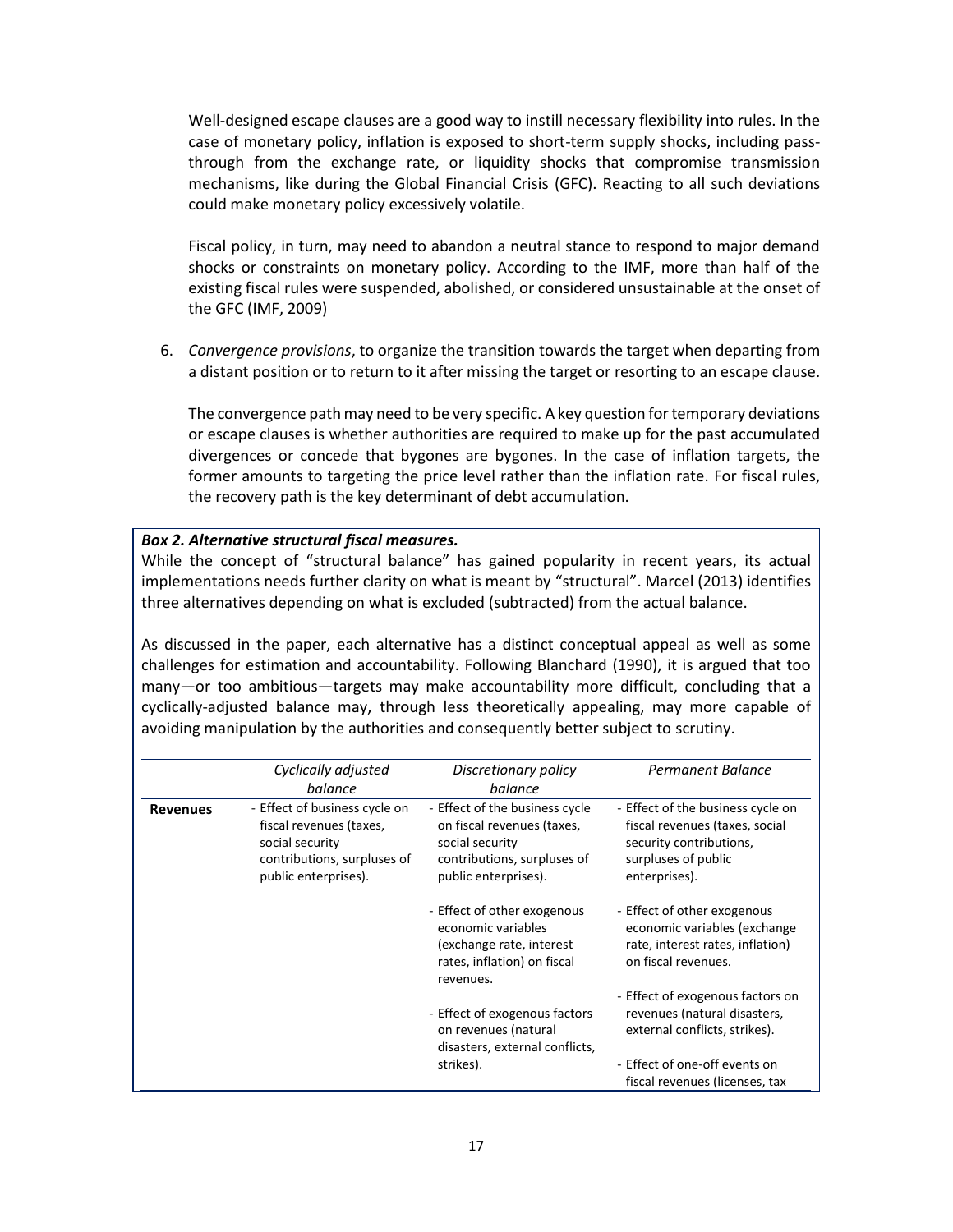Well-designed escape clauses are a good way to instill necessary flexibility into rules. In the case of monetary policy, inflation is exposed to short-term supply shocks, including passthrough from the exchange rate, or liquidity shocks that compromise transmission mechanisms, like during the Global Financial Crisis (GFC). Reacting to all such deviations could make monetary policy excessively volatile.

Fiscal policy, in turn, may need to abandon a neutral stance to respond to major demand shocks or constraints on monetary policy. According to the IMF, more than half of the existing fiscal rules were suspended, abolished, or considered unsustainable at the onset of the GFC (IMF, 2009)

6. *Convergence provisions*, to organize the transition towards the target when departing from a distant position or to return to it after missing the target or resorting to an escape clause.

The convergence path may need to be very specific. A key question for temporary deviations or escape clauses is whether authorities are required to make up for the past accumulated divergences or concede that bygones are bygones. In the case of inflation targets, the former amounts to targeting the price level rather than the inflation rate. For fiscal rules, the recovery path is the key determinant of debt accumulation.

#### *Box 2. Alternative structural fiscal measures.*

While the concept of "structural balance" has gained popularity in recent years, its actual implementations needs further clarity on what is meant by "structural". Marcel (2013) identifies three alternatives depending on what is excluded (subtracted) from the actual balance.

As discussed in the paper, each alternative has a distinct conceptual appeal as well as some challenges for estimation and accountability. Following Blanchard (1990), it is argued that too many—or too ambitious—targets may make accountability more difficult, concluding that a cyclically-adjusted balance may, through less theoretically appealing, may more capable of avoiding manipulation by the authorities and consequently better subject to scrutiny.

|                 | Cyclically adjusted<br>balance                                                                                                     | Discretionary policy<br>balance                                                                                                        | Permanent Balance                                                                                                                      |
|-----------------|------------------------------------------------------------------------------------------------------------------------------------|----------------------------------------------------------------------------------------------------------------------------------------|----------------------------------------------------------------------------------------------------------------------------------------|
| <b>Revenues</b> | - Effect of business cycle on<br>fiscal revenues (taxes,<br>social security<br>contributions, surpluses of<br>public enterprises). | - Effect of the business cycle<br>on fiscal revenues (taxes,<br>social security<br>contributions, surpluses of<br>public enterprises). | - Effect of the business cycle on<br>fiscal revenues (taxes, social<br>security contributions,<br>surpluses of public<br>enterprises). |
|                 |                                                                                                                                    | - Effect of other exogenous<br>economic variables<br>(exchange rate, interest<br>rates, inflation) on fiscal<br>revenues.              | - Effect of other exogenous<br>economic variables (exchange<br>rate, interest rates, inflation)<br>on fiscal revenues.                 |
|                 |                                                                                                                                    | - Effect of exogenous factors<br>on revenues (natural<br>disasters, external conflicts,                                                | - Effect of exogenous factors on<br>revenues (natural disasters,<br>external conflicts, strikes).                                      |
|                 |                                                                                                                                    | strikes).                                                                                                                              | - Effect of one-off events on<br>fiscal revenues (licenses, tax                                                                        |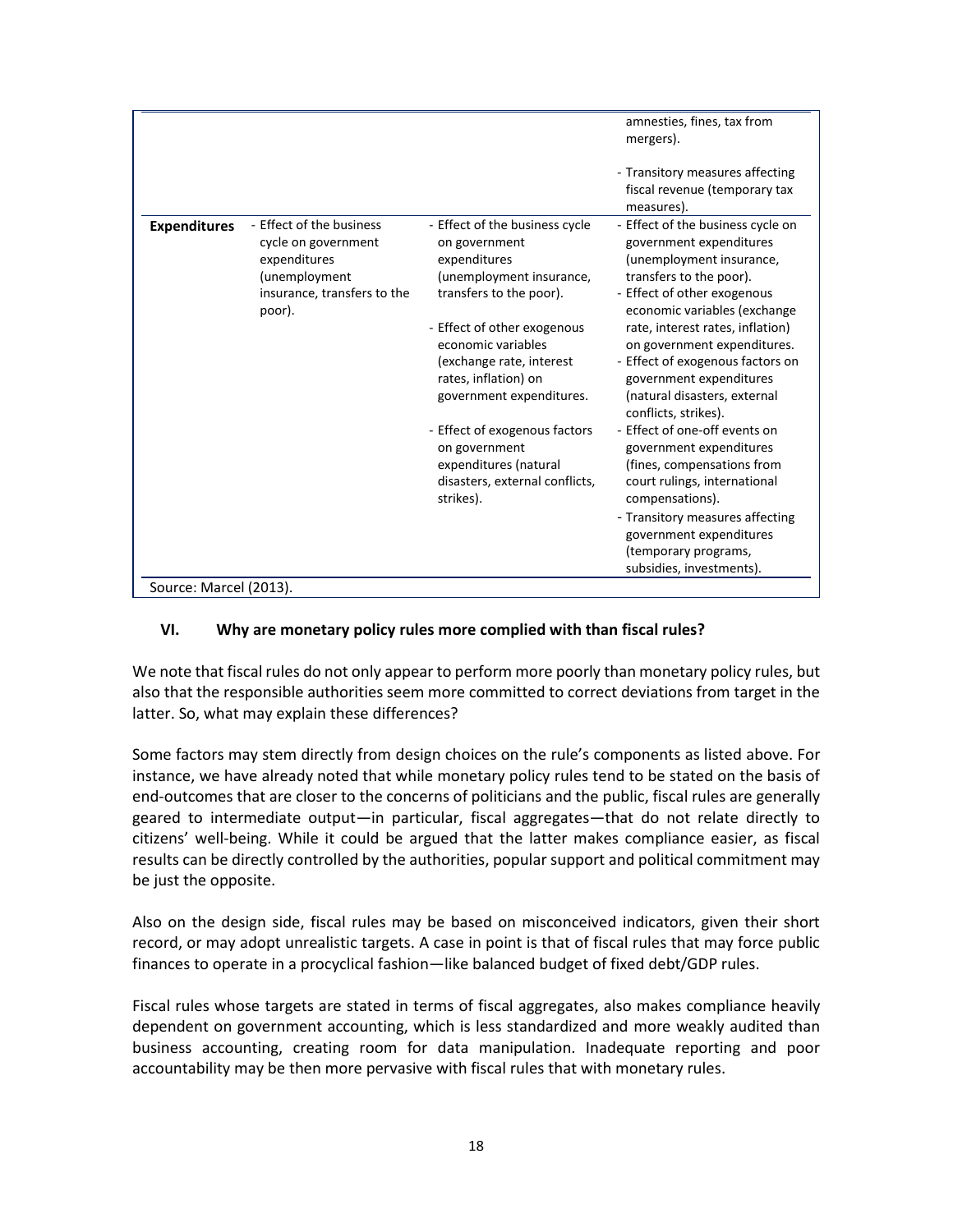|                        |                             |                                | amnesties, fines, tax from        |
|------------------------|-----------------------------|--------------------------------|-----------------------------------|
|                        |                             |                                | mergers).                         |
|                        |                             |                                |                                   |
|                        |                             |                                | - Transitory measures affecting   |
|                        |                             |                                | fiscal revenue (temporary tax     |
|                        |                             |                                | measures).                        |
| <b>Expenditures</b>    | - Effect of the business    | - Effect of the business cycle | - Effect of the business cycle on |
|                        | cycle on government         | on government                  | government expenditures           |
|                        | expenditures                | expenditures                   | (unemployment insurance,          |
|                        | (unemployment               | (unemployment insurance,       | transfers to the poor).           |
|                        | insurance, transfers to the | transfers to the poor).        | - Effect of other exogenous       |
|                        | poor).                      |                                | economic variables (exchange      |
|                        |                             | - Effect of other exogenous    | rate, interest rates, inflation)  |
|                        |                             | economic variables             | on government expenditures.       |
|                        |                             | (exchange rate, interest       | - Effect of exogenous factors on  |
|                        |                             | rates, inflation) on           | government expenditures           |
|                        |                             | government expenditures.       | (natural disasters, external      |
|                        |                             |                                | conflicts, strikes).              |
|                        |                             | - Effect of exogenous factors  | - Effect of one-off events on     |
|                        |                             | on government                  | government expenditures           |
|                        |                             | expenditures (natural          | (fines, compensations from        |
|                        |                             | disasters, external conflicts, | court rulings, international      |
|                        |                             | strikes).                      | compensations).                   |
|                        |                             |                                | - Transitory measures affecting   |
|                        |                             |                                |                                   |
|                        |                             |                                | government expenditures           |
|                        |                             |                                | (temporary programs,              |
|                        |                             |                                | subsidies, investments).          |
| Source: Marcel (2013). |                             |                                |                                   |

### **VI. Why are monetary policy rules more complied with than fiscal rules?**

We note that fiscal rules do not only appear to perform more poorly than monetary policy rules, but also that the responsible authorities seem more committed to correct deviations from target in the latter. So, what may explain these differences?

Some factors may stem directly from design choices on the rule's components as listed above. For instance, we have already noted that while monetary policy rules tend to be stated on the basis of end-outcomes that are closer to the concerns of politicians and the public, fiscal rules are generally geared to intermediate output—in particular, fiscal aggregates—that do not relate directly to citizens' well-being. While it could be argued that the latter makes compliance easier, as fiscal results can be directly controlled by the authorities, popular support and political commitment may be just the opposite.

Also on the design side, fiscal rules may be based on misconceived indicators, given their short record, or may adopt unrealistic targets. A case in point is that of fiscal rules that may force public finances to operate in a procyclical fashion—like balanced budget of fixed debt/GDP rules.

Fiscal rules whose targets are stated in terms of fiscal aggregates, also makes compliance heavily dependent on government accounting, which is less standardized and more weakly audited than business accounting, creating room for data manipulation. Inadequate reporting and poor accountability may be then more pervasive with fiscal rules that with monetary rules.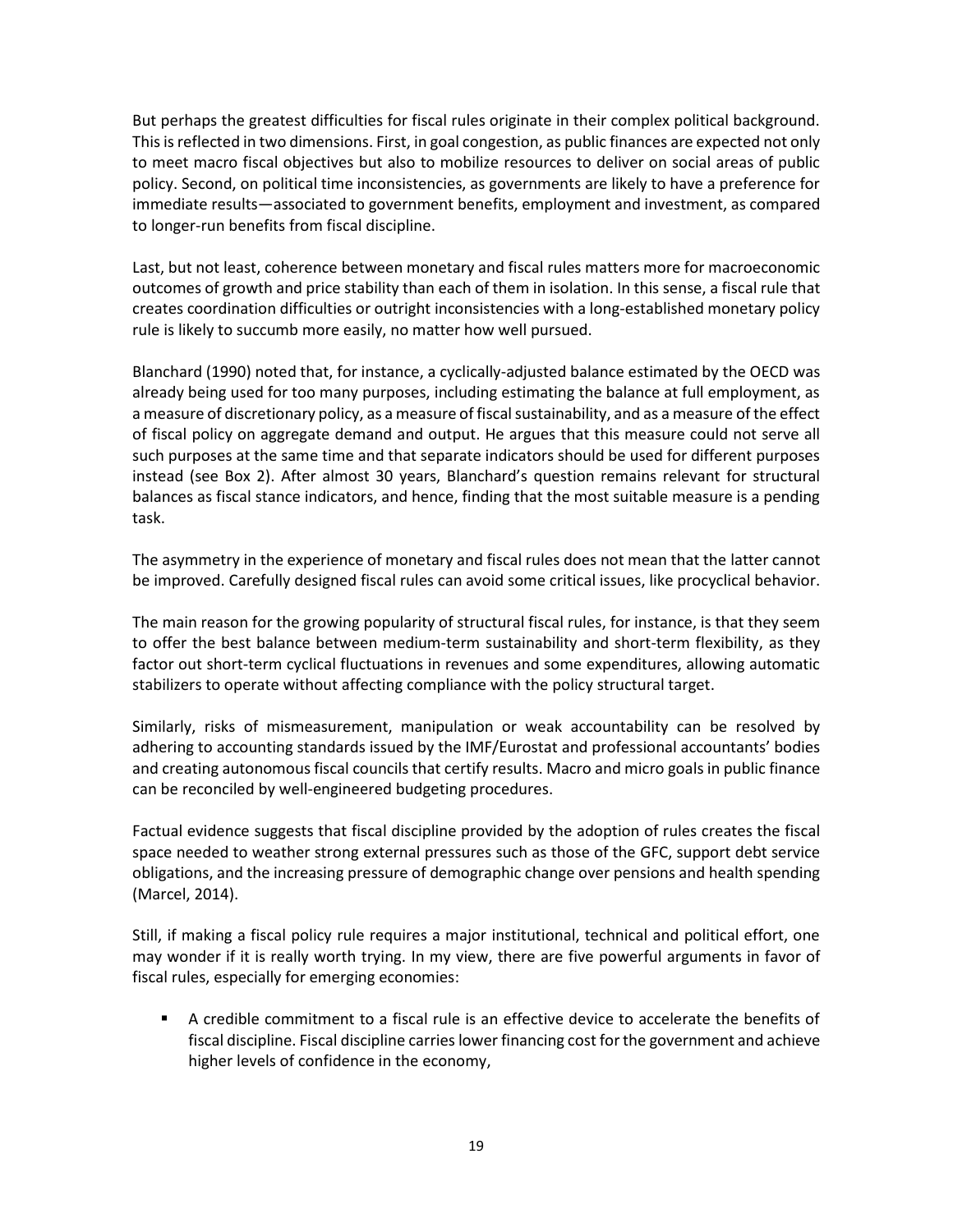But perhaps the greatest difficulties for fiscal rules originate in their complex political background. This is reflected in two dimensions. First, in goal congestion, as public finances are expected not only to meet macro fiscal objectives but also to mobilize resources to deliver on social areas of public policy. Second, on political time inconsistencies, as governments are likely to have a preference for immediate results—associated to government benefits, employment and investment, as compared to longer-run benefits from fiscal discipline.

Last, but not least, coherence between monetary and fiscal rules matters more for macroeconomic outcomes of growth and price stability than each of them in isolation. In this sense, a fiscal rule that creates coordination difficulties or outright inconsistencies with a long-established monetary policy rule is likely to succumb more easily, no matter how well pursued.

Blanchard (1990) noted that, for instance, a cyclically-adjusted balance estimated by the OECD was already being used for too many purposes, including estimating the balance at full employment, as a measure of discretionary policy, as a measure of fiscal sustainability, and as a measure of the effect of fiscal policy on aggregate demand and output. He argues that this measure could not serve all such purposes at the same time and that separate indicators should be used for different purposes instead (see Box 2). After almost 30 years, Blanchard's question remains relevant for structural balances as fiscal stance indicators, and hence, finding that the most suitable measure is a pending task.

The asymmetry in the experience of monetary and fiscal rules does not mean that the latter cannot be improved. Carefully designed fiscal rules can avoid some critical issues, like procyclical behavior.

The main reason for the growing popularity of structural fiscal rules, for instance, is that they seem to offer the best balance between medium-term sustainability and short-term flexibility, as they factor out short-term cyclical fluctuations in revenues and some expenditures, allowing automatic stabilizers to operate without affecting compliance with the policy structural target.

Similarly, risks of mismeasurement, manipulation or weak accountability can be resolved by adhering to accounting standards issued by the IMF/Eurostat and professional accountants' bodies and creating autonomous fiscal councils that certify results. Macro and micro goals in public finance can be reconciled by well-engineered budgeting procedures.

Factual evidence suggests that fiscal discipline provided by the adoption of rules creates the fiscal space needed to weather strong external pressures such as those of the GFC, support debt service obligations, and the increasing pressure of demographic change over pensions and health spending (Marcel, 2014).

Still, if making a fiscal policy rule requires a major institutional, technical and political effort, one may wonder if it is really worth trying. In my view, there are five powerful arguments in favor of fiscal rules, especially for emerging economies:

A credible commitment to a fiscal rule is an effective device to accelerate the benefits of fiscal discipline. Fiscal discipline carries lower financing cost for the government and achieve higher levels of confidence in the economy,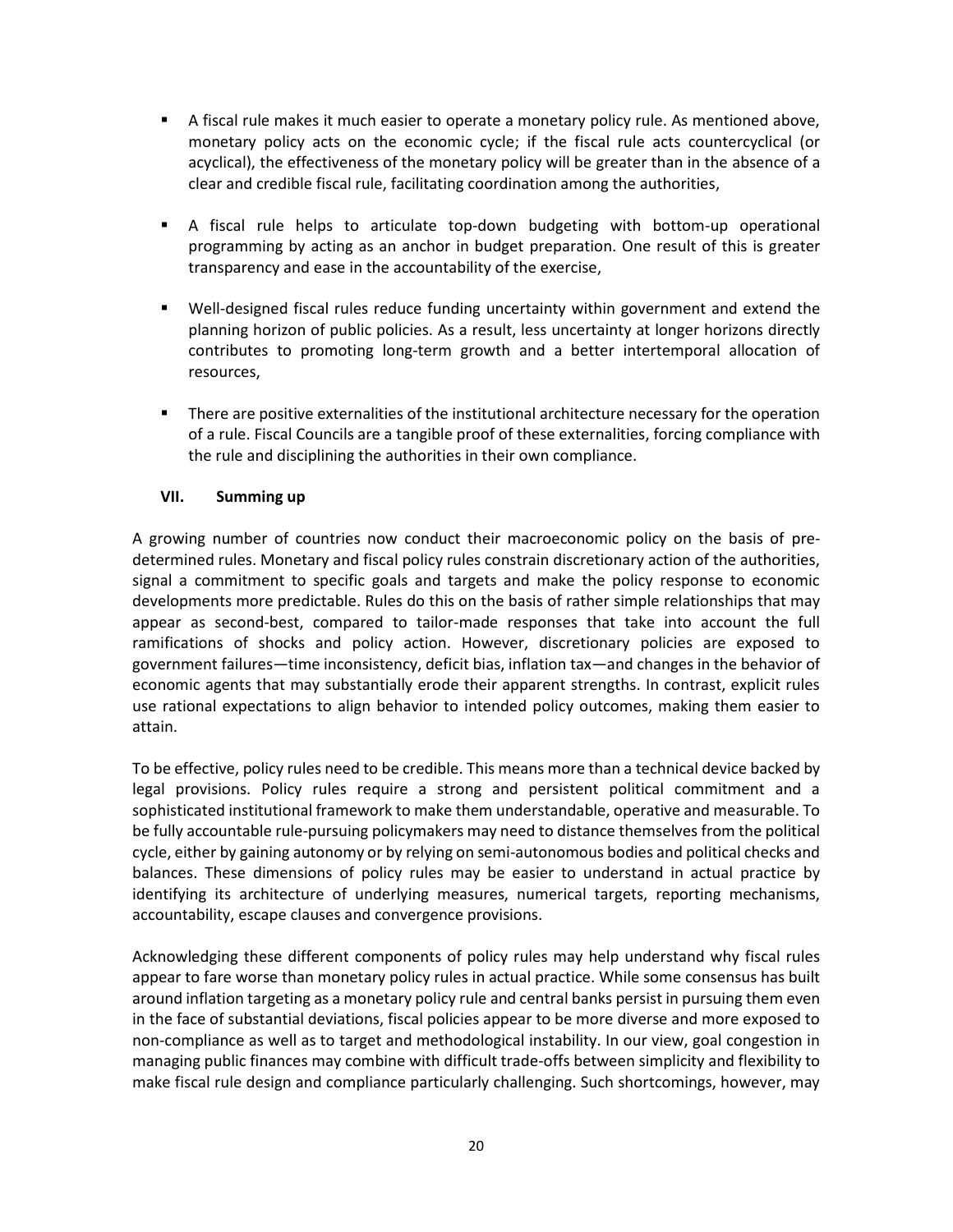- **EXECT** A fiscal rule makes it much easier to operate a monetary policy rule. As mentioned above, monetary policy acts on the economic cycle; if the fiscal rule acts countercyclical (or acyclical), the effectiveness of the monetary policy will be greater than in the absence of a clear and credible fiscal rule, facilitating coordination among the authorities,
- A fiscal rule helps to articulate top-down budgeting with bottom-up operational programming by acting as an anchor in budget preparation. One result of this is greater transparency and ease in the accountability of the exercise,
- Well-designed fiscal rules reduce funding uncertainty within government and extend the planning horizon of public policies. As a result, less uncertainty at longer horizons directly contributes to promoting long-term growth and a better intertemporal allocation of resources,
- **•** There are positive externalities of the institutional architecture necessary for the operation of a rule. Fiscal Councils are a tangible proof of these externalities, forcing compliance with the rule and disciplining the authorities in their own compliance.

### **VII. Summing up**

A growing number of countries now conduct their macroeconomic policy on the basis of predetermined rules. Monetary and fiscal policy rules constrain discretionary action of the authorities, signal a commitment to specific goals and targets and make the policy response to economic developments more predictable. Rules do this on the basis of rather simple relationships that may appear as second-best, compared to tailor-made responses that take into account the full ramifications of shocks and policy action. However, discretionary policies are exposed to government failures—time inconsistency, deficit bias, inflation tax—and changes in the behavior of economic agents that may substantially erode their apparent strengths. In contrast, explicit rules use rational expectations to align behavior to intended policy outcomes, making them easier to attain.

To be effective, policy rules need to be credible. This means more than a technical device backed by legal provisions. Policy rules require a strong and persistent political commitment and a sophisticated institutional framework to make them understandable, operative and measurable. To be fully accountable rule-pursuing policymakers may need to distance themselves from the political cycle, either by gaining autonomy or by relying on semi-autonomous bodies and political checks and balances. These dimensions of policy rules may be easier to understand in actual practice by identifying its architecture of underlying measures, numerical targets, reporting mechanisms, accountability, escape clauses and convergence provisions.

Acknowledging these different components of policy rules may help understand why fiscal rules appear to fare worse than monetary policy rules in actual practice. While some consensus has built around inflation targeting as a monetary policy rule and central banks persist in pursuing them even in the face of substantial deviations, fiscal policies appear to be more diverse and more exposed to non-compliance as well as to target and methodological instability. In our view, goal congestion in managing public finances may combine with difficult trade-offs between simplicity and flexibility to make fiscal rule design and compliance particularly challenging. Such shortcomings, however, may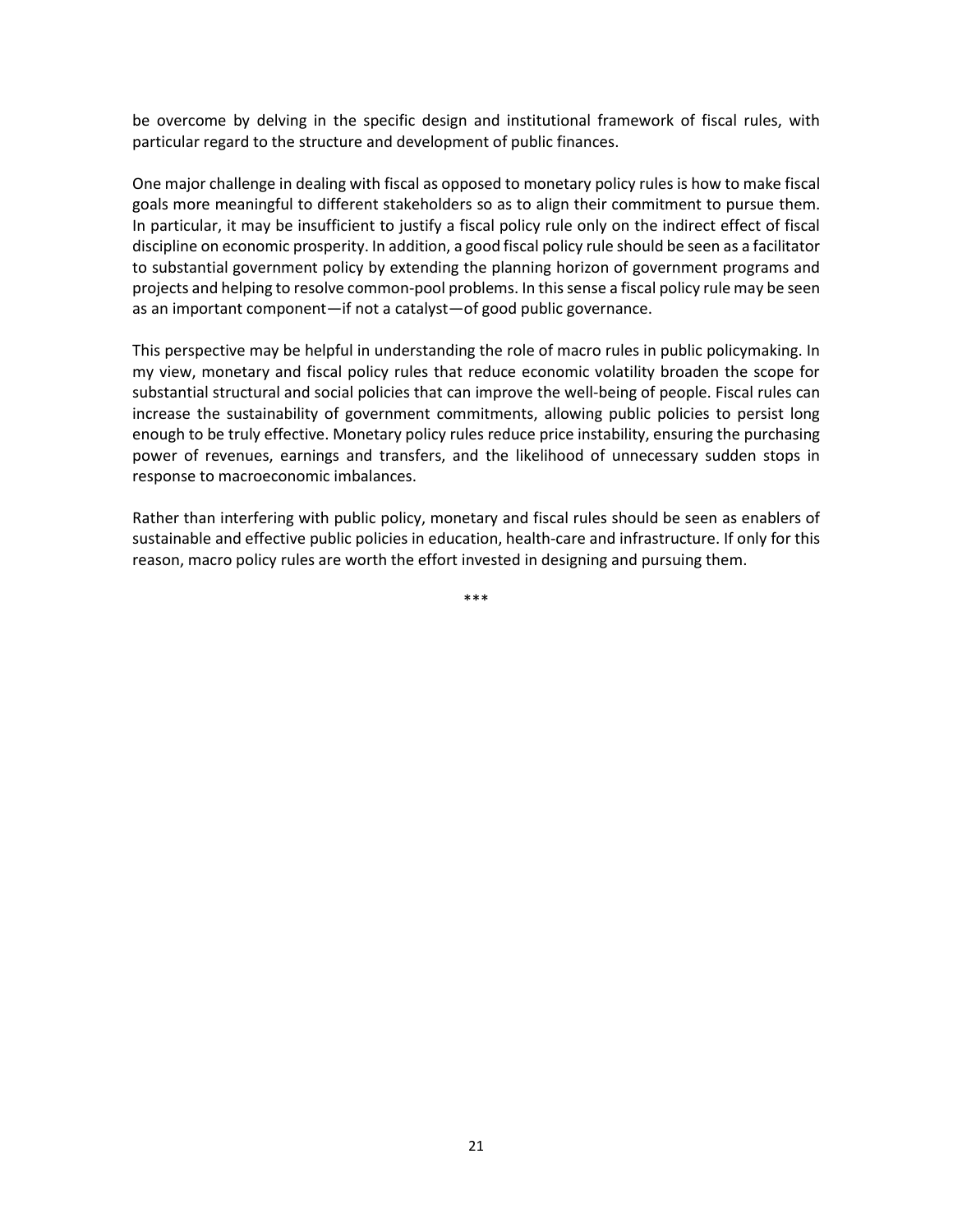be overcome by delving in the specific design and institutional framework of fiscal rules, with particular regard to the structure and development of public finances.

One major challenge in dealing with fiscal as opposed to monetary policy rules is how to make fiscal goals more meaningful to different stakeholders so as to align their commitment to pursue them. In particular, it may be insufficient to justify a fiscal policy rule only on the indirect effect of fiscal discipline on economic prosperity. In addition, a good fiscal policy rule should be seen as a facilitator to substantial government policy by extending the planning horizon of government programs and projects and helping to resolve common-pool problems. In this sense a fiscal policy rule may be seen as an important component—if not a catalyst—of good public governance.

This perspective may be helpful in understanding the role of macro rules in public policymaking. In my view, monetary and fiscal policy rules that reduce economic volatility broaden the scope for substantial structural and social policies that can improve the well-being of people. Fiscal rules can increase the sustainability of government commitments, allowing public policies to persist long enough to be truly effective. Monetary policy rules reduce price instability, ensuring the purchasing power of revenues, earnings and transfers, and the likelihood of unnecessary sudden stops in response to macroeconomic imbalances.

Rather than interfering with public policy, monetary and fiscal rules should be seen as enablers of sustainable and effective public policies in education, health-care and infrastructure. If only for this reason, macro policy rules are worth the effort invested in designing and pursuing them.

\*\*\*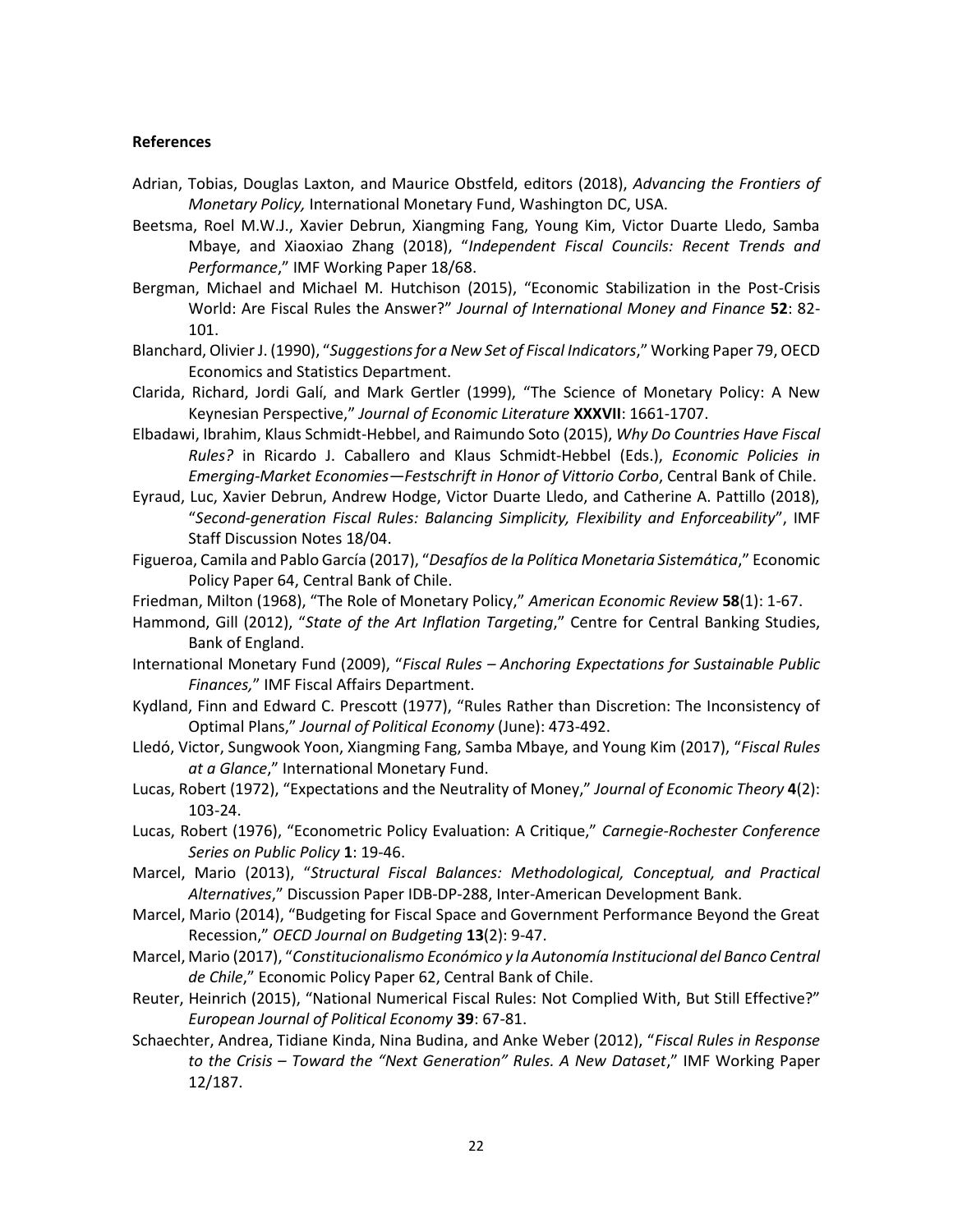#### **References**

- Adrian, Tobias, Douglas Laxton, and Maurice Obstfeld, editors (2018), *Advancing the Frontiers of Monetary Policy,* International Monetary Fund, Washington DC, USA.
- Beetsma, Roel M.W.J., Xavier Debrun, Xiangming Fang, Young Kim, Victor Duarte Lledo, Samba Mbaye, and Xiaoxiao Zhang (2018), "*Independent Fiscal Councils: Recent Trends and Performance*," IMF Working Paper 18/68.
- Bergman, Michael and Michael M. Hutchison (2015), "Economic Stabilization in the Post-Crisis World: Are Fiscal Rules the Answer?" *Journal of International Money and Finance* **52**: 82- 101.
- Blanchard, Olivier J. (1990), "*Suggestions for a New Set of Fiscal Indicators*," Working Paper 79, OECD Economics and Statistics Department.
- Clarida, Richard, Jordi Galí, and Mark Gertler (1999), "The Science of Monetary Policy: A New Keynesian Perspective," *Journal of Economic Literature* **XXXVII**: 1661-1707.
- Elbadawi, Ibrahim, Klaus Schmidt-Hebbel, and Raimundo Soto (2015), *Why Do Countries Have Fiscal Rules?* in Ricardo J. Caballero and Klaus Schmidt-Hebbel (Eds.), *Economic Policies in Emerging-Market Economies—Festschrift in Honor of Vittorio Corbo*, Central Bank of Chile.
- Eyraud, Luc, Xavier Debrun, Andrew Hodge, Victor Duarte Lledo, and Catherine A. Pattillo (2018), "*Second-generation Fiscal Rules: Balancing Simplicity, Flexibility and Enforceability*", IMF Staff Discussion Notes 18/04.
- Figueroa, Camila and Pablo García (2017), "*Desafíos de la Política Monetaria Sistemática*," Economic Policy Paper 64, Central Bank of Chile.
- Friedman, Milton (1968), "The Role of Monetary Policy," *American Economic Review* **58**(1): 1-67.
- Hammond, Gill (2012), "*State of the Art Inflation Targeting*," Centre for Central Banking Studies, Bank of England.
- International Monetary Fund (2009), "*Fiscal Rules – Anchoring Expectations for Sustainable Public Finances,*" IMF Fiscal Affairs Department.
- Kydland, Finn and Edward C. Prescott (1977), "Rules Rather than Discretion: The Inconsistency of Optimal Plans," *Journal of Political Economy* (June): 473-492.
- Lledó, Victor, Sungwook Yoon, Xiangming Fang, Samba Mbaye, and Young Kim (2017), "*Fiscal Rules at a Glance*," International Monetary Fund.
- Lucas, Robert (1972), "Expectations and the Neutrality of Money," *Journal of Economic Theory* **4**(2): 103-24.
- Lucas, Robert (1976), "Econometric Policy Evaluation: A Critique," *Carnegie-Rochester Conference Series on Public Policy* **1**: 19-46.
- Marcel, Mario (2013), "*Structural Fiscal Balances: Methodological, Conceptual, and Practical Alternatives*," Discussion Paper IDB-DP-288, Inter-American Development Bank.
- Marcel, Mario (2014), "Budgeting for Fiscal Space and Government Performance Beyond the Great Recession," *OECD Journal on Budgeting* **13**(2): 9-47.
- Marcel, Mario (2017), "*Constitucionalismo Económico y la Autonomía Institucional del Banco Central de Chile*," Economic Policy Paper 62, Central Bank of Chile.
- Reuter, Heinrich (2015), "National Numerical Fiscal Rules: Not Complied With, But Still Effective?" *European Journal of Political Economy* **39**: 67-81.
- Schaechter, Andrea, Tidiane Kinda, Nina Budina, and Anke Weber (2012), "*Fiscal Rules in Response to the Crisis – Toward the "Next Generation" Rules. A New Dataset*," IMF Working Paper 12/187.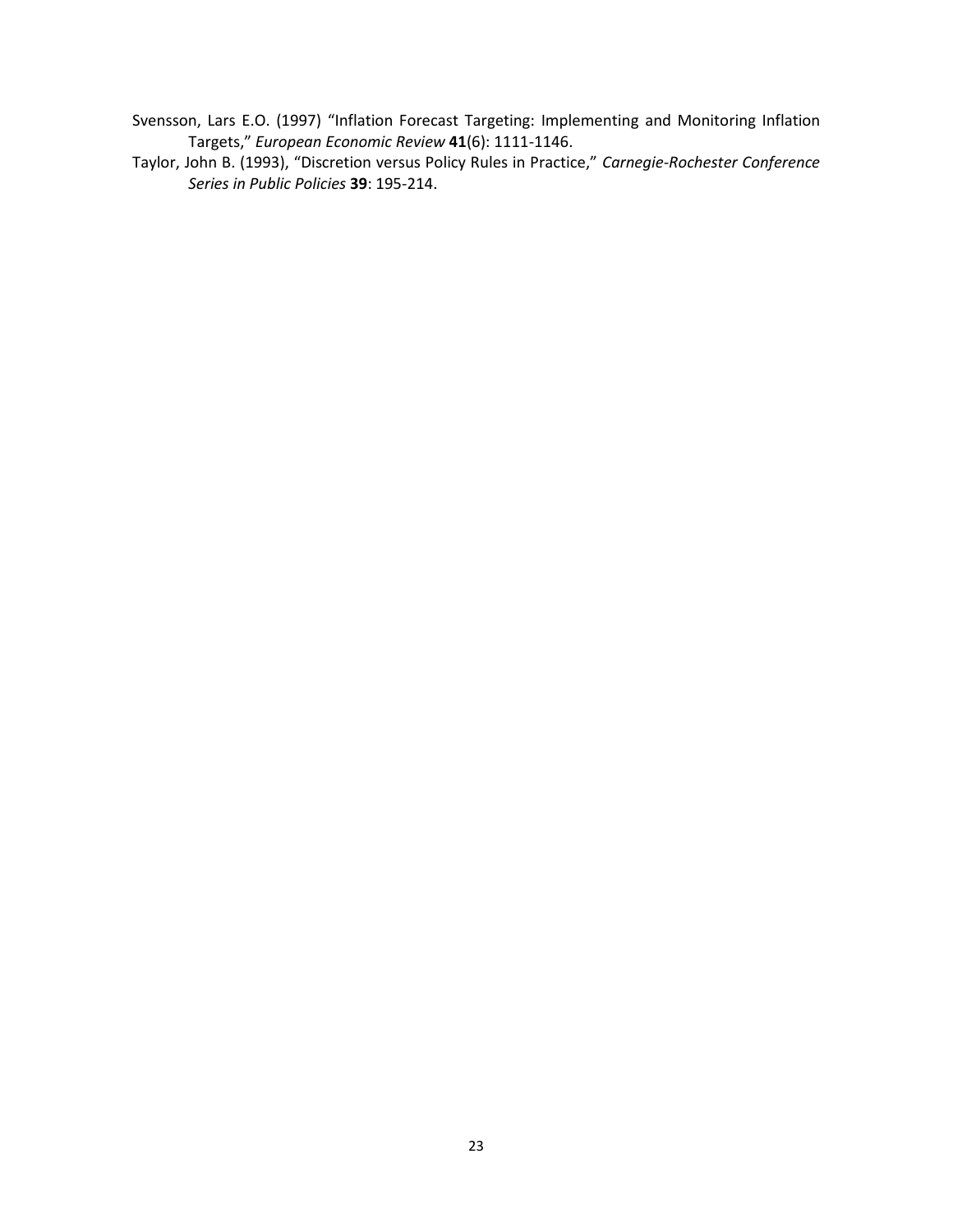- Svensson, Lars E.O. (1997) "Inflation Forecast Targeting: Implementing and Monitoring Inflation Targets," *European Economic Review* **41**(6): 1111-1146.
- Taylor, John B. (1993), "Discretion versus Policy Rules in Practice," *Carnegie-Rochester Conference Series in Public Policies* **39**: 195-214.